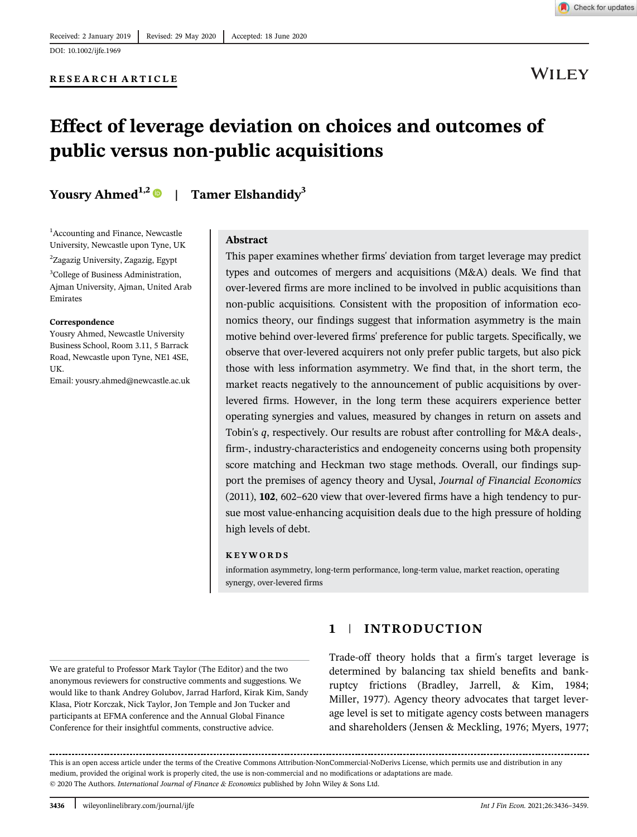

**WILEY** 

# Effect of leverage deviation on choices and outcomes of public versus non-public acquisitions

# Yousry Ahmed<sup>1,2</sup> | Tamer Elshandidy<sup>3</sup>

<sup>1</sup> Accounting and Finance, Newcastle University, Newcastle upon Tyne, UK

2 Zagazig University, Zagazig, Egypt

<sup>3</sup>College of Business Administration, Ajman University, Ajman, United Arab Emirates

#### Correspondence

Yousry Ahmed, Newcastle University Business School, Room 3.11, 5 Barrack Road, Newcastle upon Tyne, NE1 4SE, UK.

Email: yousry.ahmed@newcastle.ac.uk

#### Abstract

This paper examines whether firms' deviation from target leverage may predict types and outcomes of mergers and acquisitions (M&A) deals. We find that over-levered firms are more inclined to be involved in public acquisitions than non-public acquisitions. Consistent with the proposition of information economics theory, our findings suggest that information asymmetry is the main motive behind over-levered firms' preference for public targets. Specifically, we observe that over-levered acquirers not only prefer public targets, but also pick those with less information asymmetry. We find that, in the short term, the market reacts negatively to the announcement of public acquisitions by overlevered firms. However, in the long term these acquirers experience better operating synergies and values, measured by changes in return on assets and Tobin's *q*, respectively. Our results are robust after controlling for M&A deals-, firm-, industry-characteristics and endogeneity concerns using both propensity score matching and Heckman two stage methods. Overall, our findings support the premises of agency theory and Uysal, *Journal of Financial Economics* (2011), 102, 602–620 view that over-levered firms have a high tendency to pursue most value-enhancing acquisition deals due to the high pressure of holding high levels of debt.

#### KEYWORDS

information asymmetry, long-term performance, long-term value, market reaction, operating synergy, over-levered firms

We are grateful to Professor Mark Taylor (The Editor) and the two anonymous reviewers for constructive comments and suggestions. We would like to thank Andrey Golubov, Jarrad Harford, Kirak Kim, Sandy Klasa, Piotr Korczak, Nick Taylor, Jon Temple and Jon Tucker and participants at EFMA conference and the Annual Global Finance Conference for their insightful comments, constructive advice.

# 1 | INTRODUCTION

Trade-off theory holds that a firm's target leverage is determined by balancing tax shield benefits and bankruptcy frictions (Bradley, Jarrell, & Kim, 1984; Miller, 1977). Agency theory advocates that target leverage level is set to mitigate agency costs between managers and shareholders (Jensen & Meckling, 1976; Myers, 1977;

This is an open access article under the terms of the Creative Commons Attribution-NonCommercial-NoDerivs License, which permits use and distribution in any medium, provided the original work is properly cited, the use is non-commercial and no modifications or adaptations are made. © 2020 The Authors. *International Journal of Finance & Economics* published by John Wiley & Sons Ltd.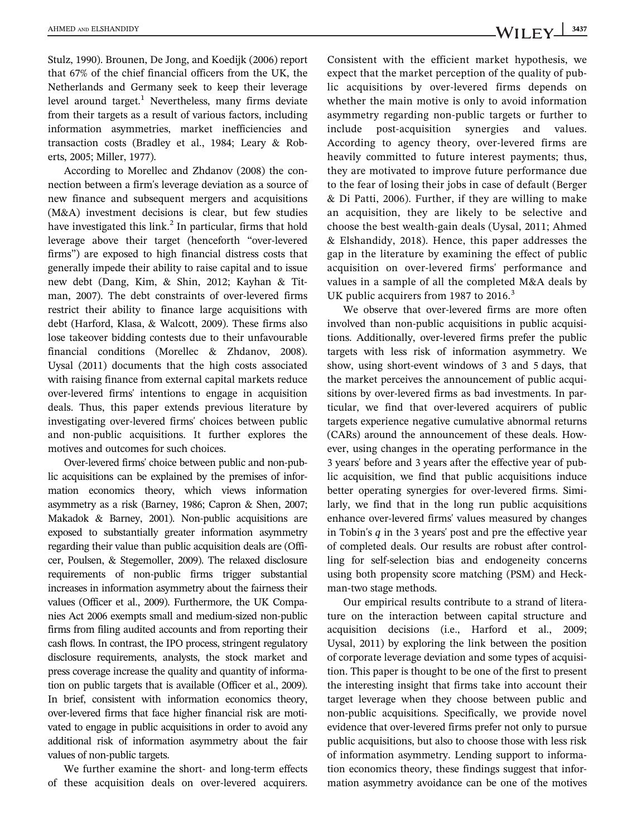Stulz, 1990). Brounen, De Jong, and Koedijk (2006) report that 67% of the chief financial officers from the UK, the Netherlands and Germany seek to keep their leverage level around target.<sup>1</sup> Nevertheless, many firms deviate from their targets as a result of various factors, including information asymmetries, market inefficiencies and transaction costs (Bradley et al., 1984; Leary & Roberts, 2005; Miller, 1977).

According to Morellec and Zhdanov (2008) the connection between a firm's leverage deviation as a source of new finance and subsequent mergers and acquisitions (M&A) investment decisions is clear, but few studies have investigated this link.<sup>2</sup> In particular, firms that hold leverage above their target (henceforth "over-levered firms") are exposed to high financial distress costs that generally impede their ability to raise capital and to issue new debt (Dang, Kim, & Shin, 2012; Kayhan & Titman, 2007). The debt constraints of over-levered firms restrict their ability to finance large acquisitions with debt (Harford, Klasa, & Walcott, 2009). These firms also lose takeover bidding contests due to their unfavourable financial conditions (Morellec & Zhdanov, 2008). Uysal (2011) documents that the high costs associated with raising finance from external capital markets reduce over-levered firms' intentions to engage in acquisition deals. Thus, this paper extends previous literature by investigating over-levered firms' choices between public and non-public acquisitions. It further explores the motives and outcomes for such choices.

Over-levered firms' choice between public and non-public acquisitions can be explained by the premises of information economics theory, which views information asymmetry as a risk (Barney, 1986; Capron & Shen, 2007; Makadok & Barney, 2001). Non-public acquisitions are exposed to substantially greater information asymmetry regarding their value than public acquisition deals are (Officer, Poulsen, & Stegemoller, 2009). The relaxed disclosure requirements of non-public firms trigger substantial increases in information asymmetry about the fairness their values (Officer et al., 2009). Furthermore, the UK Companies Act 2006 exempts small and medium-sized non-public firms from filing audited accounts and from reporting their cash flows. In contrast, the IPO process, stringent regulatory disclosure requirements, analysts, the stock market and press coverage increase the quality and quantity of information on public targets that is available (Officer et al., 2009). In brief, consistent with information economics theory, over-levered firms that face higher financial risk are motivated to engage in public acquisitions in order to avoid any additional risk of information asymmetry about the fair values of non-public targets.

We further examine the short- and long-term effects of these acquisition deals on over-levered acquirers.

Consistent with the efficient market hypothesis, we expect that the market perception of the quality of public acquisitions by over-levered firms depends on whether the main motive is only to avoid information asymmetry regarding non-public targets or further to include post-acquisition synergies and values. According to agency theory, over-levered firms are heavily committed to future interest payments; thus, they are motivated to improve future performance due to the fear of losing their jobs in case of default (Berger & Di Patti, 2006). Further, if they are willing to make an acquisition, they are likely to be selective and choose the best wealth-gain deals (Uysal, 2011; Ahmed & Elshandidy, 2018). Hence, this paper addresses the gap in the literature by examining the effect of public acquisition on over-levered firms' performance and values in a sample of all the completed M&A deals by UK public acquirers from 1987 to 2016.<sup>3</sup>

We observe that over-levered firms are more often involved than non-public acquisitions in public acquisitions. Additionally, over-levered firms prefer the public targets with less risk of information asymmetry. We show, using short-event windows of 3 and 5 days, that the market perceives the announcement of public acquisitions by over-levered firms as bad investments. In particular, we find that over-levered acquirers of public targets experience negative cumulative abnormal returns (CARs) around the announcement of these deals. However, using changes in the operating performance in the 3 years' before and 3 years after the effective year of public acquisition, we find that public acquisitions induce better operating synergies for over-levered firms. Similarly, we find that in the long run public acquisitions enhance over-levered firms' values measured by changes in Tobin's *q* in the 3 years' post and pre the effective year of completed deals. Our results are robust after controlling for self-selection bias and endogeneity concerns using both propensity score matching (PSM) and Heckman-two stage methods.

Our empirical results contribute to a strand of literature on the interaction between capital structure and acquisition decisions (i.e., Harford et al., 2009; Uysal, 2011) by exploring the link between the position of corporate leverage deviation and some types of acquisition. This paper is thought to be one of the first to present the interesting insight that firms take into account their target leverage when they choose between public and non-public acquisitions. Specifically, we provide novel evidence that over-levered firms prefer not only to pursue public acquisitions, but also to choose those with less risk of information asymmetry. Lending support to information economics theory, these findings suggest that information asymmetry avoidance can be one of the motives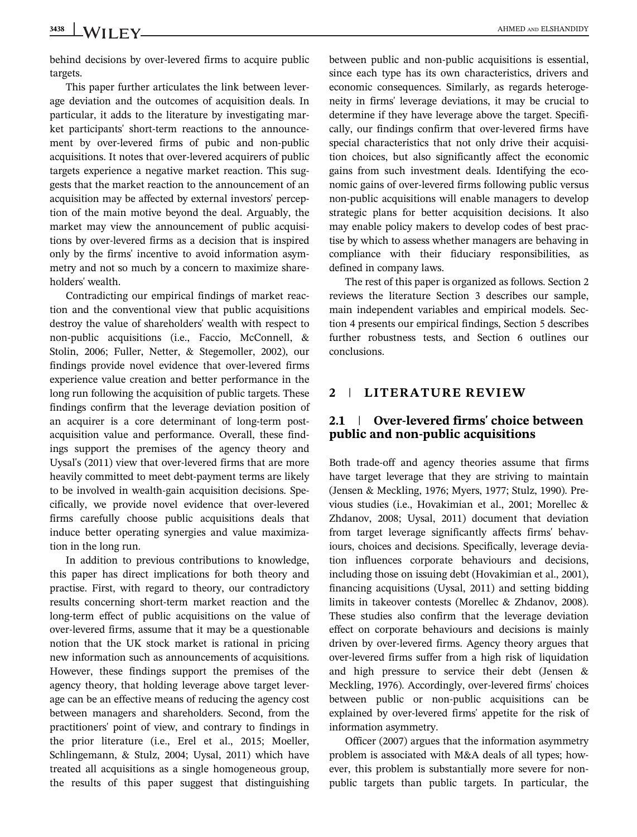3438 WILLEV **AHMED AND ELSHANDIDY** 

behind decisions by over-levered firms to acquire public targets.

This paper further articulates the link between leverage deviation and the outcomes of acquisition deals. In particular, it adds to the literature by investigating market participants' short-term reactions to the announcement by over-levered firms of pubic and non-public acquisitions. It notes that over-levered acquirers of public targets experience a negative market reaction. This suggests that the market reaction to the announcement of an acquisition may be affected by external investors' perception of the main motive beyond the deal. Arguably, the market may view the announcement of public acquisitions by over-levered firms as a decision that is inspired only by the firms' incentive to avoid information asymmetry and not so much by a concern to maximize shareholders' wealth.

Contradicting our empirical findings of market reaction and the conventional view that public acquisitions destroy the value of shareholders' wealth with respect to non-public acquisitions (i.e., Faccio, McConnell, & Stolin, 2006; Fuller, Netter, & Stegemoller, 2002), our findings provide novel evidence that over-levered firms experience value creation and better performance in the long run following the acquisition of public targets. These findings confirm that the leverage deviation position of an acquirer is a core determinant of long-term postacquisition value and performance. Overall, these findings support the premises of the agency theory and Uysal's (2011) view that over-levered firms that are more heavily committed to meet debt-payment terms are likely to be involved in wealth-gain acquisition decisions. Specifically, we provide novel evidence that over-levered firms carefully choose public acquisitions deals that induce better operating synergies and value maximization in the long run.

In addition to previous contributions to knowledge, this paper has direct implications for both theory and practise. First, with regard to theory, our contradictory results concerning short-term market reaction and the long-term effect of public acquisitions on the value of over-levered firms, assume that it may be a questionable notion that the UK stock market is rational in pricing new information such as announcements of acquisitions. However, these findings support the premises of the agency theory, that holding leverage above target leverage can be an effective means of reducing the agency cost between managers and shareholders. Second, from the practitioners' point of view, and contrary to findings in the prior literature (i.e., Erel et al., 2015; Moeller, Schlingemann, & Stulz, 2004; Uysal, 2011) which have treated all acquisitions as a single homogeneous group, the results of this paper suggest that distinguishing between public and non-public acquisitions is essential, since each type has its own characteristics, drivers and economic consequences. Similarly, as regards heterogeneity in firms' leverage deviations, it may be crucial to determine if they have leverage above the target. Specifically, our findings confirm that over-levered firms have special characteristics that not only drive their acquisition choices, but also significantly affect the economic gains from such investment deals. Identifying the economic gains of over-levered firms following public versus non-public acquisitions will enable managers to develop strategic plans for better acquisition decisions. It also may enable policy makers to develop codes of best practise by which to assess whether managers are behaving in compliance with their fiduciary responsibilities, as defined in company laws.

The rest of this paper is organized as follows. Section 2 reviews the literature Section 3 describes our sample, main independent variables and empirical models. Section 4 presents our empirical findings, Section 5 describes further robustness tests, and Section 6 outlines our conclusions.

# 2 | LITERATURE REVIEW

# 2.1 | Over-levered firms' choice between public and non-public acquisitions

Both trade-off and agency theories assume that firms have target leverage that they are striving to maintain (Jensen & Meckling, 1976; Myers, 1977; Stulz, 1990). Previous studies (i.e., Hovakimian et al., 2001; Morellec & Zhdanov, 2008; Uysal, 2011) document that deviation from target leverage significantly affects firms' behaviours, choices and decisions. Specifically, leverage deviation influences corporate behaviours and decisions, including those on issuing debt (Hovakimian et al., 2001), financing acquisitions (Uysal, 2011) and setting bidding limits in takeover contests (Morellec & Zhdanov, 2008). These studies also confirm that the leverage deviation effect on corporate behaviours and decisions is mainly driven by over-levered firms. Agency theory argues that over-levered firms suffer from a high risk of liquidation and high pressure to service their debt (Jensen & Meckling, 1976). Accordingly, over-levered firms' choices between public or non-public acquisitions can be explained by over-levered firms' appetite for the risk of information asymmetry.

Officer (2007) argues that the information asymmetry problem is associated with M&A deals of all types; however, this problem is substantially more severe for nonpublic targets than public targets. In particular, the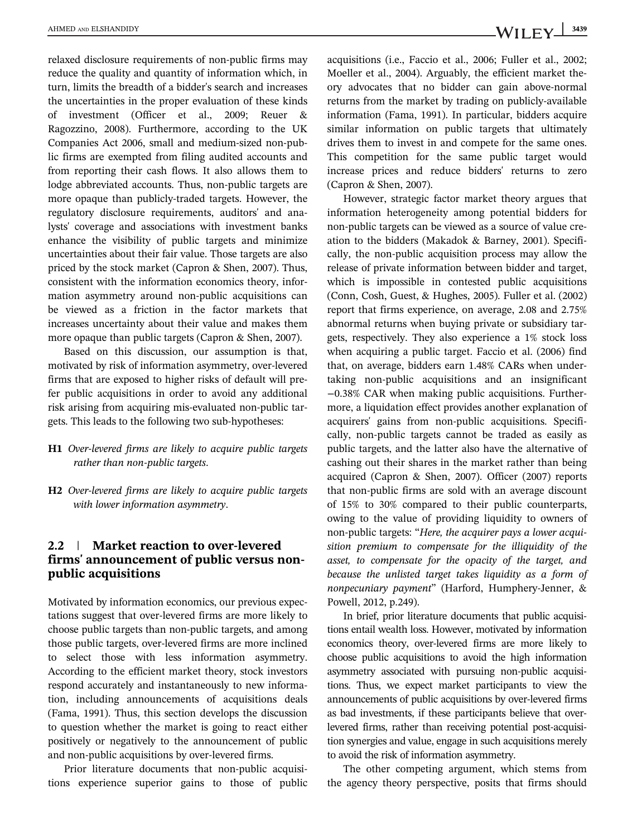relaxed disclosure requirements of non-public firms may reduce the quality and quantity of information which, in turn, limits the breadth of a bidder's search and increases the uncertainties in the proper evaluation of these kinds of investment (Officer et al., 2009; Reuer & Ragozzino, 2008). Furthermore, according to the UK Companies Act 2006, small and medium-sized non-public firms are exempted from filing audited accounts and from reporting their cash flows. It also allows them to lodge abbreviated accounts. Thus, non-public targets are more opaque than publicly-traded targets. However, the regulatory disclosure requirements, auditors' and analysts' coverage and associations with investment banks enhance the visibility of public targets and minimize uncertainties about their fair value. Those targets are also priced by the stock market (Capron & Shen, 2007). Thus, consistent with the information economics theory, information asymmetry around non-public acquisitions can be viewed as a friction in the factor markets that increases uncertainty about their value and makes them more opaque than public targets (Capron & Shen, 2007).

Based on this discussion, our assumption is that, motivated by risk of information asymmetry, over-levered firms that are exposed to higher risks of default will prefer public acquisitions in order to avoid any additional risk arising from acquiring mis-evaluated non-public targets. This leads to the following two sub-hypotheses:

- H1 *Over-levered firms are likely to acquire public targets rather than non-public targets*.
- H2 *Over-levered firms are likely to acquire public targets with lower information asymmetry*.

# 2.2 | Market reaction to over-levered firms' announcement of public versus nonpublic acquisitions

Motivated by information economics, our previous expectations suggest that over-levered firms are more likely to choose public targets than non-public targets, and among those public targets, over-levered firms are more inclined to select those with less information asymmetry. According to the efficient market theory, stock investors respond accurately and instantaneously to new information, including announcements of acquisitions deals (Fama, 1991). Thus, this section develops the discussion to question whether the market is going to react either positively or negatively to the announcement of public and non-public acquisitions by over-levered firms.

Prior literature documents that non-public acquisitions experience superior gains to those of public acquisitions (i.e., Faccio et al., 2006; Fuller et al., 2002; Moeller et al., 2004). Arguably, the efficient market theory advocates that no bidder can gain above-normal returns from the market by trading on publicly-available information (Fama, 1991). In particular, bidders acquire similar information on public targets that ultimately drives them to invest in and compete for the same ones. This competition for the same public target would increase prices and reduce bidders' returns to zero (Capron & Shen, 2007).

However, strategic factor market theory argues that information heterogeneity among potential bidders for non-public targets can be viewed as a source of value creation to the bidders (Makadok & Barney, 2001). Specifically, the non-public acquisition process may allow the release of private information between bidder and target, which is impossible in contested public acquisitions (Conn, Cosh, Guest, & Hughes, 2005). Fuller et al. (2002) report that firms experience, on average, 2.08 and 2.75% abnormal returns when buying private or subsidiary targets, respectively. They also experience a 1% stock loss when acquiring a public target. Faccio et al. (2006) find that, on average, bidders earn 1.48% CARs when undertaking non-public acquisitions and an insignificant −0.38% CAR when making public acquisitions. Furthermore, a liquidation effect provides another explanation of acquirers' gains from non-public acquisitions. Specifically, non-public targets cannot be traded as easily as public targets, and the latter also have the alternative of cashing out their shares in the market rather than being acquired (Capron & Shen, 2007). Officer (2007) reports that non-public firms are sold with an average discount of 15% to 30% compared to their public counterparts, owing to the value of providing liquidity to owners of non-public targets: "*Here, the acquirer pays a lower acquisition premium to compensate for the illiquidity of the asset, to compensate for the opacity of the target, and because the unlisted target takes liquidity as a form of nonpecuniary payment*" (Harford, Humphery-Jenner, & Powell, 2012, p.249).

In brief, prior literature documents that public acquisitions entail wealth loss. However, motivated by information economics theory, over-levered firms are more likely to choose public acquisitions to avoid the high information asymmetry associated with pursuing non-public acquisitions. Thus, we expect market participants to view the announcements of public acquisitions by over-levered firms as bad investments, if these participants believe that overlevered firms, rather than receiving potential post-acquisition synergies and value, engage in such acquisitions merely to avoid the risk of information asymmetry.

The other competing argument, which stems from the agency theory perspective, posits that firms should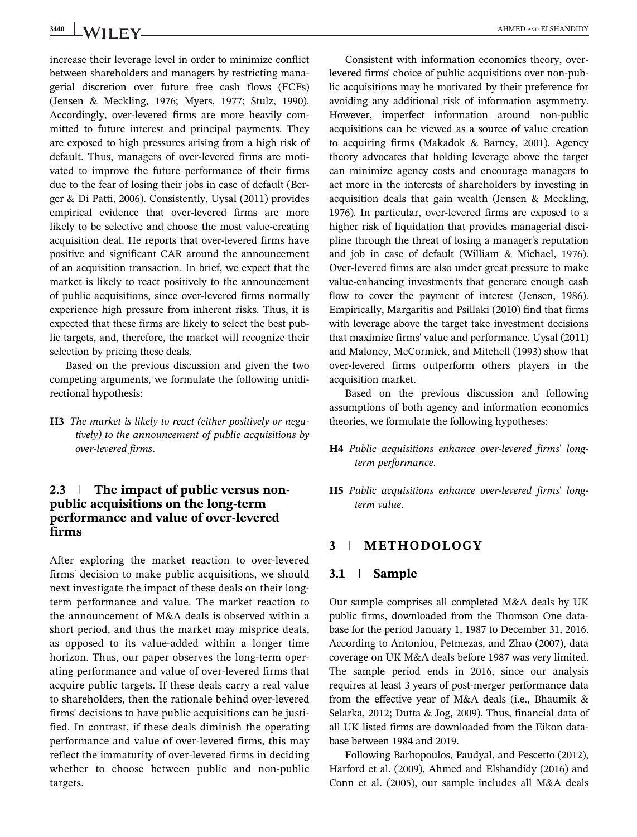increase their leverage level in order to minimize conflict between shareholders and managers by restricting managerial discretion over future free cash flows (FCFs) (Jensen & Meckling, 1976; Myers, 1977; Stulz, 1990). Accordingly, over-levered firms are more heavily committed to future interest and principal payments. They are exposed to high pressures arising from a high risk of default. Thus, managers of over-levered firms are motivated to improve the future performance of their firms due to the fear of losing their jobs in case of default (Berger & Di Patti, 2006). Consistently, Uysal (2011) provides empirical evidence that over-levered firms are more likely to be selective and choose the most value-creating acquisition deal. He reports that over-levered firms have positive and significant CAR around the announcement of an acquisition transaction. In brief, we expect that the market is likely to react positively to the announcement of public acquisitions, since over-levered firms normally experience high pressure from inherent risks. Thus, it is expected that these firms are likely to select the best public targets, and, therefore, the market will recognize their selection by pricing these deals.

Based on the previous discussion and given the two competing arguments, we formulate the following unidirectional hypothesis:

H3 *The market is likely to react (either positively or negatively) to the announcement of public acquisitions by over-levered firms*.

# 2.3 | The impact of public versus nonpublic acquisitions on the long-term performance and value of over-levered firms

After exploring the market reaction to over-levered firms' decision to make public acquisitions, we should next investigate the impact of these deals on their longterm performance and value. The market reaction to the announcement of M&A deals is observed within a short period, and thus the market may misprice deals, as opposed to its value-added within a longer time horizon. Thus, our paper observes the long-term operating performance and value of over-levered firms that acquire public targets. If these deals carry a real value to shareholders, then the rationale behind over-levered firms' decisions to have public acquisitions can be justified. In contrast, if these deals diminish the operating performance and value of over-levered firms, this may reflect the immaturity of over-levered firms in deciding whether to choose between public and non-public targets.

Consistent with information economics theory, overlevered firms' choice of public acquisitions over non-public acquisitions may be motivated by their preference for avoiding any additional risk of information asymmetry. However, imperfect information around non-public acquisitions can be viewed as a source of value creation to acquiring firms (Makadok & Barney, 2001). Agency theory advocates that holding leverage above the target can minimize agency costs and encourage managers to act more in the interests of shareholders by investing in acquisition deals that gain wealth (Jensen & Meckling, 1976). In particular, over-levered firms are exposed to a higher risk of liquidation that provides managerial discipline through the threat of losing a manager's reputation and job in case of default (William & Michael, 1976). Over-levered firms are also under great pressure to make value-enhancing investments that generate enough cash flow to cover the payment of interest (Jensen, 1986). Empirically, Margaritis and Psillaki (2010) find that firms with leverage above the target take investment decisions that maximize firms' value and performance. Uysal (2011) and Maloney, McCormick, and Mitchell (1993) show that over-levered firms outperform others players in the acquisition market.

Based on the previous discussion and following assumptions of both agency and information economics theories, we formulate the following hypotheses:

- H4 *Public acquisitions enhance over-levered firms*' *longterm performance*.
- H5 *Public acquisitions enhance over-levered firms*' *longterm value*.

#### 3 | METHODOLOGY

#### 3.1 | Sample

Our sample comprises all completed M&A deals by UK public firms, downloaded from the Thomson One database for the period January 1, 1987 to December 31, 2016. According to Antoniou, Petmezas, and Zhao (2007), data coverage on UK M&A deals before 1987 was very limited. The sample period ends in 2016, since our analysis requires at least 3 years of post-merger performance data from the effective year of M&A deals (i.e., Bhaumik & Selarka, 2012; Dutta & Jog, 2009). Thus, financial data of all UK listed firms are downloaded from the Eikon database between 1984 and 2019.

Following Barbopoulos, Paudyal, and Pescetto (2012), Harford et al. (2009), Ahmed and Elshandidy (2016) and Conn et al. (2005), our sample includes all M&A deals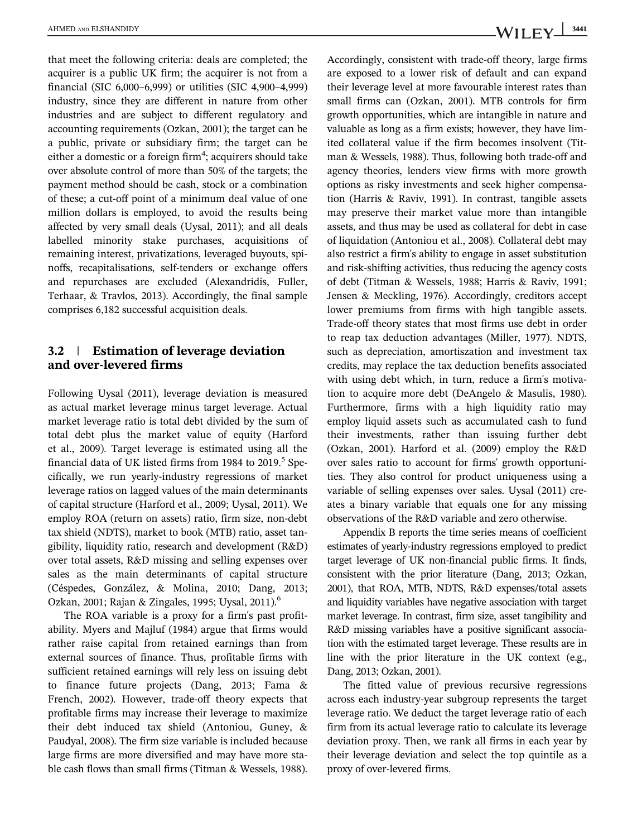that meet the following criteria: deals are completed; the acquirer is a public UK firm; the acquirer is not from a financial (SIC 6,000–6,999) or utilities (SIC 4,900–4,999) industry, since they are different in nature from other industries and are subject to different regulatory and accounting requirements (Ozkan, 2001); the target can be a public, private or subsidiary firm; the target can be either a domestic or a foreign firm $\rm{^4};$  acquirers should take over absolute control of more than 50% of the targets; the payment method should be cash, stock or a combination of these; a cut-off point of a minimum deal value of one million dollars is employed, to avoid the results being affected by very small deals (Uysal, 2011); and all deals labelled minority stake purchases, acquisitions of remaining interest, privatizations, leveraged buyouts, spinoffs, recapitalisations, self-tenders or exchange offers and repurchases are excluded (Alexandridis, Fuller, Terhaar, & Travlos, 2013). Accordingly, the final sample comprises 6,182 successful acquisition deals.

# 3.2 | Estimation of leverage deviation and over-levered firms

Following Uysal (2011), leverage deviation is measured as actual market leverage minus target leverage. Actual market leverage ratio is total debt divided by the sum of total debt plus the market value of equity (Harford et al., 2009). Target leverage is estimated using all the financial data of UK listed firms from 1984 to 2019. $^5$  Specifically, we run yearly-industry regressions of market leverage ratios on lagged values of the main determinants of capital structure (Harford et al., 2009; Uysal, 2011). We employ ROA (return on assets) ratio, firm size, non-debt tax shield (NDTS), market to book (MTB) ratio, asset tangibility, liquidity ratio, research and development (R&D) over total assets, R&D missing and selling expenses over sales as the main determinants of capital structure (Céspedes, González, & Molina, 2010; Dang, 2013; Ozkan, 2001; Rajan & Zingales, 1995; Uysal, 2011).<sup>6</sup>

The ROA variable is a proxy for a firm's past profitability. Myers and Majluf (1984) argue that firms would rather raise capital from retained earnings than from external sources of finance. Thus, profitable firms with sufficient retained earnings will rely less on issuing debt to finance future projects (Dang, 2013; Fama & French, 2002). However, trade-off theory expects that profitable firms may increase their leverage to maximize their debt induced tax shield (Antoniou, Guney, & Paudyal, 2008). The firm size variable is included because large firms are more diversified and may have more stable cash flows than small firms (Titman & Wessels, 1988).

Accordingly, consistent with trade-off theory, large firms are exposed to a lower risk of default and can expand their leverage level at more favourable interest rates than small firms can (Ozkan, 2001). MTB controls for firm growth opportunities, which are intangible in nature and valuable as long as a firm exists; however, they have limited collateral value if the firm becomes insolvent (Titman & Wessels, 1988). Thus, following both trade-off and agency theories, lenders view firms with more growth options as risky investments and seek higher compensation (Harris & Raviv, 1991). In contrast, tangible assets may preserve their market value more than intangible assets, and thus may be used as collateral for debt in case of liquidation (Antoniou et al., 2008). Collateral debt may also restrict a firm's ability to engage in asset substitution and risk-shifting activities, thus reducing the agency costs of debt (Titman & Wessels, 1988; Harris & Raviv, 1991; Jensen & Meckling, 1976). Accordingly, creditors accept lower premiums from firms with high tangible assets. Trade-off theory states that most firms use debt in order to reap tax deduction advantages (Miller, 1977). NDTS, such as depreciation, amortiszation and investment tax credits, may replace the tax deduction benefits associated with using debt which, in turn, reduce a firm's motivation to acquire more debt (DeAngelo & Masulis, 1980). Furthermore, firms with a high liquidity ratio may employ liquid assets such as accumulated cash to fund their investments, rather than issuing further debt (Ozkan, 2001). Harford et al. (2009) employ the R&D over sales ratio to account for firms' growth opportunities. They also control for product uniqueness using a variable of selling expenses over sales. Uysal (2011) creates a binary variable that equals one for any missing observations of the R&D variable and zero otherwise.

Appendix B reports the time series means of coefficient estimates of yearly-industry regressions employed to predict target leverage of UK non-financial public firms. It finds, consistent with the prior literature (Dang, 2013; Ozkan, 2001), that ROA, MTB, NDTS, R&D expenses/total assets and liquidity variables have negative association with target market leverage. In contrast, firm size, asset tangibility and R&D missing variables have a positive significant association with the estimated target leverage. These results are in line with the prior literature in the UK context (e.g., Dang, 2013; Ozkan, 2001).

The fitted value of previous recursive regressions across each industry-year subgroup represents the target leverage ratio. We deduct the target leverage ratio of each firm from its actual leverage ratio to calculate its leverage deviation proxy. Then, we rank all firms in each year by their leverage deviation and select the top quintile as a proxy of over-levered firms.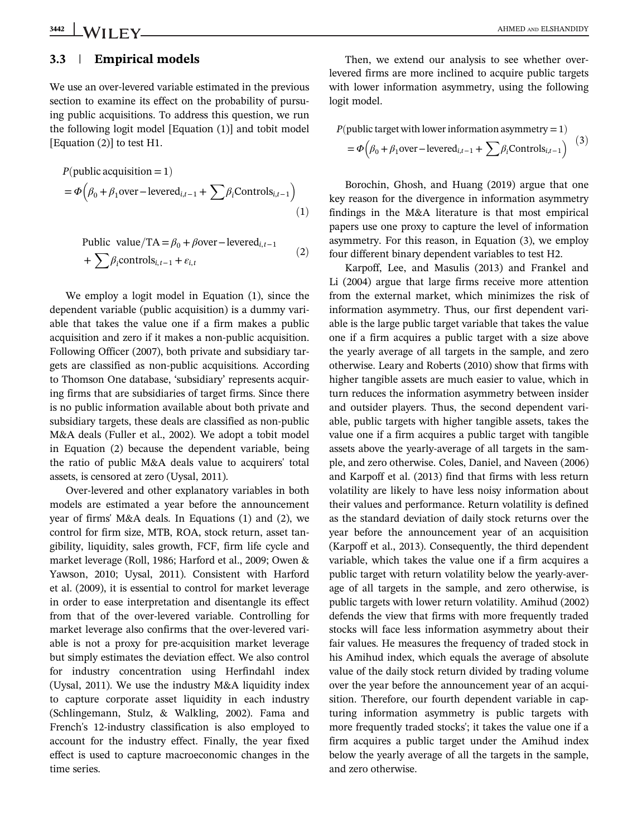#### 3.3 | Empirical models

We use an over-levered variable estimated in the previous section to examine its effect on the probability of pursuing public acquisitions. To address this question, we run the following logit model [Equation (1)] and tobit model [Equation (2)] to test H1.

$$
P(\text{public acquisition} = 1)
$$
  
=  $\Phi\left(\beta_0 + \beta_1 \text{over}-\text{levered}_{i,t-1} + \sum \beta_i \text{Controls}_{i,t-1}\right)$  (1)

Public value/TA = 
$$
\beta_0 + \beta
$$
over-levered<sub>i,t-1</sub>  
+  $\sum \beta_i$  controls<sub>i,t-1</sub> +  $\varepsilon_{i,t}$  (2)

We employ a logit model in Equation (1), since the dependent variable (public acquisition) is a dummy variable that takes the value one if a firm makes a public acquisition and zero if it makes a non-public acquisition. Following Officer (2007), both private and subsidiary targets are classified as non-public acquisitions. According to Thomson One database, 'subsidiary' represents acquiring firms that are subsidiaries of target firms. Since there is no public information available about both private and subsidiary targets, these deals are classified as non-public M&A deals (Fuller et al., 2002). We adopt a tobit model in Equation (2) because the dependent variable, being the ratio of public M&A deals value to acquirers' total assets, is censored at zero (Uysal, 2011).

Over-levered and other explanatory variables in both models are estimated a year before the announcement year of firms' M&A deals. In Equations (1) and (2), we control for firm size, MTB, ROA, stock return, asset tangibility, liquidity, sales growth, FCF, firm life cycle and market leverage (Roll, 1986; Harford et al., 2009; Owen & Yawson, 2010; Uysal, 2011). Consistent with Harford et al. (2009), it is essential to control for market leverage in order to ease interpretation and disentangle its effect from that of the over-levered variable. Controlling for market leverage also confirms that the over-levered variable is not a proxy for pre-acquisition market leverage but simply estimates the deviation effect. We also control for industry concentration using Herfindahl index (Uysal, 2011). We use the industry M&A liquidity index to capture corporate asset liquidity in each industry (Schlingemann, Stulz, & Walkling, 2002). Fama and French's 12-industry classification is also employed to account for the industry effect. Finally, the year fixed effect is used to capture macroeconomic changes in the time series.

Then, we extend our analysis to see whether overlevered firms are more inclined to acquire public targets with lower information asymmetry, using the following logit model.

$$
P(\text{public target with lower information asymmetry} = 1)
$$
  
=  $\Phi\left(\beta_0 + \beta_1 \text{over}-\text{levered}_{i,t-1} + \sum \beta_i \text{Controls}_{i,t-1}\right)$  (3)

Borochin, Ghosh, and Huang (2019) argue that one key reason for the divergence in information asymmetry findings in the M&A literature is that most empirical papers use one proxy to capture the level of information asymmetry. For this reason, in Equation (3), we employ four different binary dependent variables to test H2.

Karpoff, Lee, and Masulis (2013) and Frankel and Li (2004) argue that large firms receive more attention from the external market, which minimizes the risk of information asymmetry. Thus, our first dependent variable is the large public target variable that takes the value one if a firm acquires a public target with a size above the yearly average of all targets in the sample, and zero otherwise. Leary and Roberts (2010) show that firms with higher tangible assets are much easier to value, which in turn reduces the information asymmetry between insider and outsider players. Thus, the second dependent variable, public targets with higher tangible assets, takes the value one if a firm acquires a public target with tangible assets above the yearly-average of all targets in the sample, and zero otherwise. Coles, Daniel, and Naveen (2006) and Karpoff et al. (2013) find that firms with less return volatility are likely to have less noisy information about their values and performance. Return volatility is defined as the standard deviation of daily stock returns over the year before the announcement year of an acquisition (Karpoff et al., 2013). Consequently, the third dependent variable, which takes the value one if a firm acquires a public target with return volatility below the yearly-average of all targets in the sample, and zero otherwise, is public targets with lower return volatility. Amihud (2002) defends the view that firms with more frequently traded stocks will face less information asymmetry about their fair values. He measures the frequency of traded stock in his Amihud index, which equals the average of absolute value of the daily stock return divided by trading volume over the year before the announcement year of an acquisition. Therefore, our fourth dependent variable in capturing information asymmetry is public targets with more frequently traded stocks'; it takes the value one if a firm acquires a public target under the Amihud index below the yearly average of all the targets in the sample, and zero otherwise.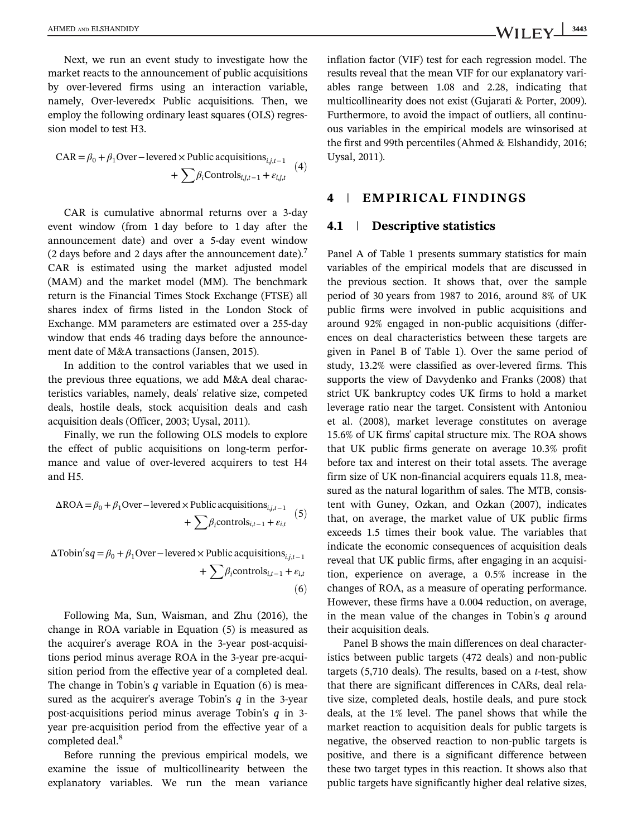AHMED AND ELSHANDIDY  $\text{WII FV}$  3443

Next, we run an event study to investigate how the market reacts to the announcement of public acquisitions by over-levered firms using an interaction variable, namely, Over-levered $\times$  Public acquisitions. Then, we employ the following ordinary least squares (OLS) regression model to test H3.

$$
CAR = \beta_0 + \beta_1 Over-level \times Public \, acquisitions_{i,j,t-1} + \sum \beta_i Controls_{i,j,t-1} + \varepsilon_{i,j,t}
$$
 (4)

CAR is cumulative abnormal returns over a 3-day event window (from 1 day before to 1 day after the announcement date) and over a 5-day event window (2 days before and 2 days after the announcement date).<sup>7</sup> CAR is estimated using the market adjusted model (MAM) and the market model (MM). The benchmark return is the Financial Times Stock Exchange (FTSE) all shares index of firms listed in the London Stock of Exchange. MM parameters are estimated over a 255-day window that ends 46 trading days before the announcement date of M&A transactions (Jansen, 2015).

In addition to the control variables that we used in the previous three equations, we add M&A deal characteristics variables, namely, deals' relative size, competed deals, hostile deals, stock acquisition deals and cash acquisition deals (Officer, 2003; Uysal, 2011).

Finally, we run the following OLS models to explore the effect of public acquisitions on long-term performance and value of over-levered acquirers to test H4 and H5.

$$
\Delta \text{ROA} = \beta_0 + \beta_1 \text{Over}-\text{levered} \times \text{Public acquisitions}_{i,j,t-1} + \sum \beta_i \text{controls}_{i,t-1} + \varepsilon_{i,t} \quad (5)
$$

 $\Delta \text{Tobin}' s q = \beta_0 + \beta_1 \text{Over}-\text{levered} \times \text{Public acquisitions}_{i,j,t-1}$ +  $\sum \beta_i$ controls<sub>*i*,*t*-1</sub> +  $\varepsilon_{i,t}$  $(6)$ 

Following Ma, Sun, Waisman, and Zhu (2016), the change in ROA variable in Equation (5) is measured as the acquirer's average ROA in the 3-year post-acquisitions period minus average ROA in the 3-year pre-acquisition period from the effective year of a completed deal. The change in Tobin's *q* variable in Equation (6) is measured as the acquirer's average Tobin's *q* in the 3-year post-acquisitions period minus average Tobin's *q* in 3 year pre-acquisition period from the effective year of a completed deal.<sup>8</sup>

Before running the previous empirical models, we examine the issue of multicollinearity between the explanatory variables. We run the mean variance inflation factor (VIF) test for each regression model. The results reveal that the mean VIF for our explanatory variables range between 1.08 and 2.28, indicating that multicollinearity does not exist (Gujarati & Porter, 2009). Furthermore, to avoid the impact of outliers, all continuous variables in the empirical models are winsorised at the first and 99th percentiles (Ahmed & Elshandidy, 2016; Uysal, 2011).

#### 4 | EMPIRICAL FINDINGS

#### 4.1 | Descriptive statistics

Panel A of Table 1 presents summary statistics for main variables of the empirical models that are discussed in the previous section. It shows that, over the sample period of 30 years from 1987 to 2016, around 8% of UK public firms were involved in public acquisitions and around 92% engaged in non-public acquisitions (differences on deal characteristics between these targets are given in Panel B of Table 1). Over the same period of study, 13.2% were classified as over-levered firms. This supports the view of Davydenko and Franks (2008) that strict UK bankruptcy codes UK firms to hold a market leverage ratio near the target. Consistent with Antoniou et al. (2008), market leverage constitutes on average 15.6% of UK firms' capital structure mix. The ROA shows that UK public firms generate on average 10.3% profit before tax and interest on their total assets. The average firm size of UK non-financial acquirers equals 11.8, measured as the natural logarithm of sales. The MTB, consistent with Guney, Ozkan, and Ozkan (2007), indicates that, on average, the market value of UK public firms exceeds 1.5 times their book value. The variables that indicate the economic consequences of acquisition deals reveal that UK public firms, after engaging in an acquisition, experience on average, a 0.5% increase in the changes of ROA, as a measure of operating performance. However, these firms have a 0.004 reduction, on average, in the mean value of the changes in Tobin's *q* around their acquisition deals.

Panel B shows the main differences on deal characteristics between public targets (472 deals) and non-public targets (5,710 deals). The results, based on a *t*-test, show that there are significant differences in CARs, deal relative size, completed deals, hostile deals, and pure stock deals, at the 1% level. The panel shows that while the market reaction to acquisition deals for public targets is negative, the observed reaction to non-public targets is positive, and there is a significant difference between these two target types in this reaction. It shows also that public targets have significantly higher deal relative sizes,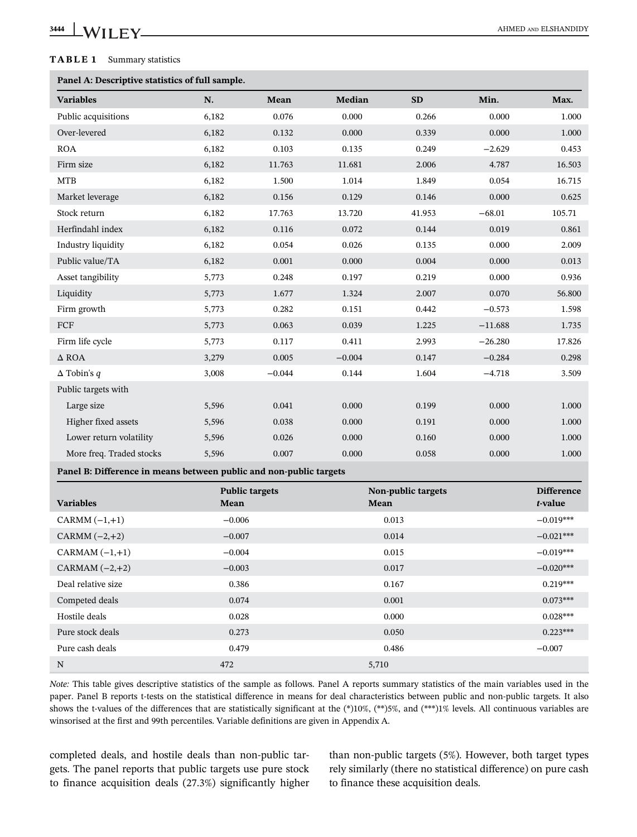# **3444 WILEY** CONSUMERTY

#### TABLE 1 Summary statistics

# Panel A: Descriptive statistics of full

| Panel A: Descriptive statistics of full sample.                    |          |                       |          |                    |           |                   |
|--------------------------------------------------------------------|----------|-----------------------|----------|--------------------|-----------|-------------------|
| <b>Variables</b>                                                   | N.       | Mean                  | Median   | <b>SD</b>          | Min.      | Max.              |
| Public acquisitions                                                | 6,182    | 0.076                 | 0.000    | 0.266              | 0.000     | 1.000             |
| Over-levered                                                       | 6,182    | 0.132                 | 0.000    | 0.339              | 0.000     | 1.000             |
| <b>ROA</b>                                                         | 6,182    | 0.103                 | 0.135    | 0.249              | $-2.629$  | 0.453             |
| Firm size                                                          | 6,182    | 11.763                | 11.681   | 2.006              | 4.787     | 16.503            |
| $\operatorname{MTB}$                                               | 6,182    | 1.500                 | 1.014    | 1.849              | 0.054     | 16.715            |
| Market leverage                                                    | 6,182    | 0.156                 | 0.129    | 0.146              | 0.000     | 0.625             |
| Stock return                                                       | 6,182    | 17.763                | 13.720   | 41.953             | $-68.01$  | 105.71            |
| Herfindahl index                                                   | 6,182    | 0.116                 | 0.072    | 0.144              | 0.019     | 0.861             |
| Industry liquidity                                                 | 6,182    | 0.054                 | 0.026    | 0.135              | 0.000     | 2.009             |
| Public value/TA                                                    | 6,182    | 0.001                 | 0.000    | 0.004              | 0.000     | 0.013             |
| Asset tangibility                                                  | 5,773    | 0.248                 | 0.197    | 0.219              | 0.000     | 0.936             |
| Liquidity                                                          | 5,773    | 1.677                 | 1.324    | 2.007              | 0.070     | 56.800            |
| Firm growth                                                        | 5,773    | 0.282                 | 0.151    | 0.442              | $-0.573$  | 1.598             |
| FCF                                                                | 5,773    | 0.063                 | 0.039    | 1.225              | $-11.688$ | 1.735             |
| Firm life cycle                                                    | 5,773    | 0.117                 | 0.411    | 2.993              | $-26.280$ | 17.826            |
| $\Delta$ ROA                                                       | 3,279    | 0.005                 | $-0.004$ | 0.147              | $-0.284$  | 0.298             |
| $\Delta$ Tobin's q                                                 | 3,008    | $-0.044$              | 0.144    | 1.604              | $-4.718$  | 3.509             |
| Public targets with                                                |          |                       |          |                    |           |                   |
| Large size                                                         | 5,596    | 0.041                 | 0.000    | 0.199              | 0.000     | 1.000             |
| Higher fixed assets                                                | 5,596    | 0.038                 | 0.000    | 0.191              | 0.000     | 1.000             |
| Lower return volatility                                            | 5,596    | 0.026                 | 0.000    | 0.160              | 0.000     | 1.000             |
| More freq. Traded stocks                                           | 5,596    | 0.007                 | 0.000    | 0.058              | 0.000     | 1.000             |
| Panel B: Difference in means between public and non-public targets |          |                       |          |                    |           |                   |
|                                                                    |          | <b>Public targets</b> |          | Non-public targets |           | <b>Difference</b> |
| <b>Variables</b>                                                   | Mean     |                       | Mean     |                    |           | t-value           |
| CARMM $(-1,+1)$                                                    | $-0.006$ |                       |          | 0.013              |           | $-0.019***$       |
| CARMM $(-2,+2)$                                                    | $-0.007$ |                       |          | 0.014              |           | $-0.021***$       |
| CARMAM $(-1,+1)$                                                   | $-0.004$ |                       |          | 0.015              |           | $-0.019***$       |
| CARMAM $(-2,+2)$                                                   | $-0.003$ |                       |          | 0.017              |           | $-0.020***$       |
| Deal relative size                                                 | 0.386    |                       |          | 0.167              |           | $0.219***$        |
| Competed deals                                                     | 0.074    |                       |          | 0.001              |           | $0.073***$        |
| Hostile deals                                                      | 0.028    |                       |          | 0.000              |           | $0.028***$        |

N 5,710 *Note:* This table gives descriptive statistics of the sample as follows. Panel A reports summary statistics of the main variables used in the paper. Panel B reports t-tests on the statistical difference in means for deal characteristics between public and non-public targets. It also shows the t-values of the differences that are statistically significant at the  $(*10\%, (**)5\%,$  and  $(**)1\%$  levels. All continuous variables are winsorised at the first and 99th percentiles. Variable definitions are given in Appendix A.

Pure stock deals 0.273 0.273 0.050 0.223\*\*\* Pure cash deals **0.479** 0.486 −0.007

completed deals, and hostile deals than non-public targets. The panel reports that public targets use pure stock to finance acquisition deals (27.3%) significantly higher than non-public targets (5%). However, both target types rely similarly (there no statistical difference) on pure cash to finance these acquisition deals.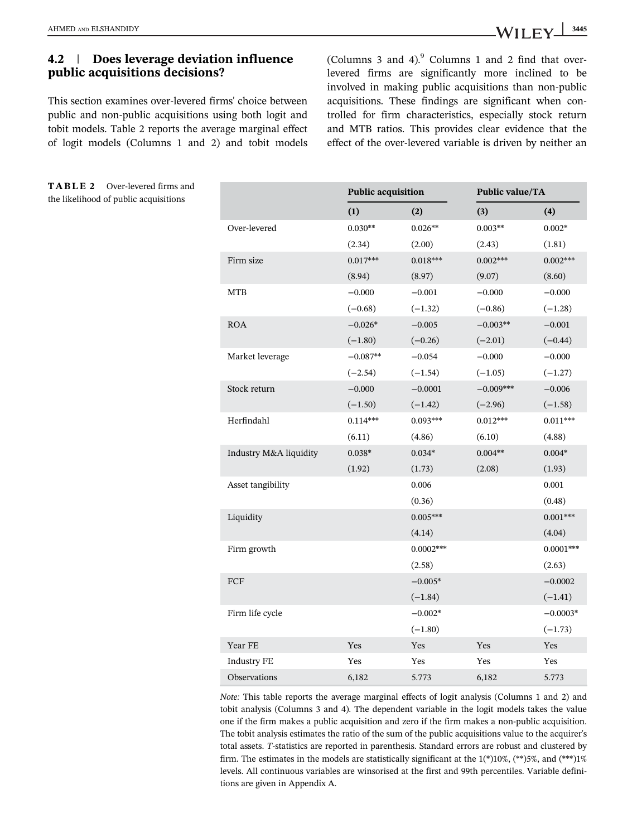# 4.2 | Does leverage deviation influence public acquisitions decisions?

This section examines over-levered firms' choice between public and non-public acquisitions using both logit and tobit models. Table 2 reports the average marginal effect of logit models (Columns 1 and 2) and tobit models

TABLE 2 Over-levered firms and the likelihood of public acquisitions

(Columns 3 and 4). $9$  Columns 1 and 2 find that overlevered firms are significantly more inclined to be involved in making public acquisitions than non-public acquisitions. These findings are significant when controlled for firm characteristics, especially stock return and MTB ratios. This provides clear evidence that the effect of the over-levered variable is driven by neither an

|                        | <b>Public acquisition</b> |             | <b>Public value/TA</b> |             |
|------------------------|---------------------------|-------------|------------------------|-------------|
|                        | (1)                       | (2)         | (3)                    | (4)         |
| Over-levered           | $0.030**$                 | $0.026**$   | $0.003**$              | $0.002*$    |
|                        | (2.34)                    | (2.00)      | (2.43)                 | (1.81)      |
| Firm size              | $0.017***$                | $0.018***$  | $0.002***$             | $0.002***$  |
|                        | (8.94)                    | (8.97)      | (9.07)                 | (8.60)      |
| <b>MTB</b>             | $-0.000$                  | $-0.001$    | $-0.000$               | $-0.000$    |
|                        | $(-0.68)$                 | $(-1.32)$   | $(-0.86)$              | $(-1.28)$   |
| <b>ROA</b>             | $-0.026*$                 | $-0.005$    | $-0.003**$             | $-0.001$    |
|                        | $(-1.80)$                 | $(-0.26)$   | $(-2.01)$              | $(-0.44)$   |
| Market leverage        | $-0.087**$                | $-0.054$    | $-0.000$               | $-0.000$    |
|                        | $(-2.54)$                 | $(-1.54)$   | $(-1.05)$              | $(-1.27)$   |
| Stock return           | $-0.000$                  | $-0.0001$   | $-0.009***$            | $-0.006$    |
|                        | $(-1.50)$                 | $(-1.42)$   | $(-2.96)$              | $(-1.58)$   |
| Herfindahl             | $0.114***$                | $0.093***$  | $0.012***$             | $0.011***$  |
|                        | (6.11)                    | (4.86)      | (6.10)                 | (4.88)      |
| Industry M&A liquidity | $0.038*$                  | $0.034*$    | $0.004**$              | $0.004*$    |
|                        | (1.92)                    | (1.73)      | (2.08)                 | (1.93)      |
| Asset tangibility      |                           | 0.006       |                        | 0.001       |
|                        |                           | (0.36)      |                        | (0.48)      |
| Liquidity              |                           | $0.005***$  |                        | $0.001***$  |
|                        |                           | (4.14)      |                        | (4.04)      |
| Firm growth            |                           | $0.0002***$ |                        | $0.0001***$ |
|                        |                           | (2.58)      |                        | (2.63)      |
| FCF                    |                           | $-0.005*$   |                        | $-0.0002$   |
|                        |                           | $(-1.84)$   |                        | $(-1.41)$   |
| Firm life cycle        |                           | $-0.002*$   |                        | $-0.0003*$  |
|                        |                           | $(-1.80)$   |                        | $(-1.73)$   |
| Year FE                | Yes                       | Yes         | Yes                    | Yes         |
| <b>Industry FE</b>     | Yes                       | Yes         | Yes                    | Yes         |
| Observations           | 6,182                     | 5.773       | 6,182                  | 5.773       |

*Note:* This table reports the average marginal effects of logit analysis (Columns 1 and 2) and tobit analysis (Columns 3 and 4). The dependent variable in the logit models takes the value one if the firm makes a public acquisition and zero if the firm makes a non-public acquisition. The tobit analysis estimates the ratio of the sum of the public acquisitions value to the acquirer's total assets. *T*-statistics are reported in parenthesis. Standard errors are robust and clustered by firm. The estimates in the models are statistically significant at the  $1(*)10\%$ ,  $(**)5\%$ , and  $(***)1\%$ levels. All continuous variables are winsorised at the first and 99th percentiles. Variable definitions are given in Appendix A.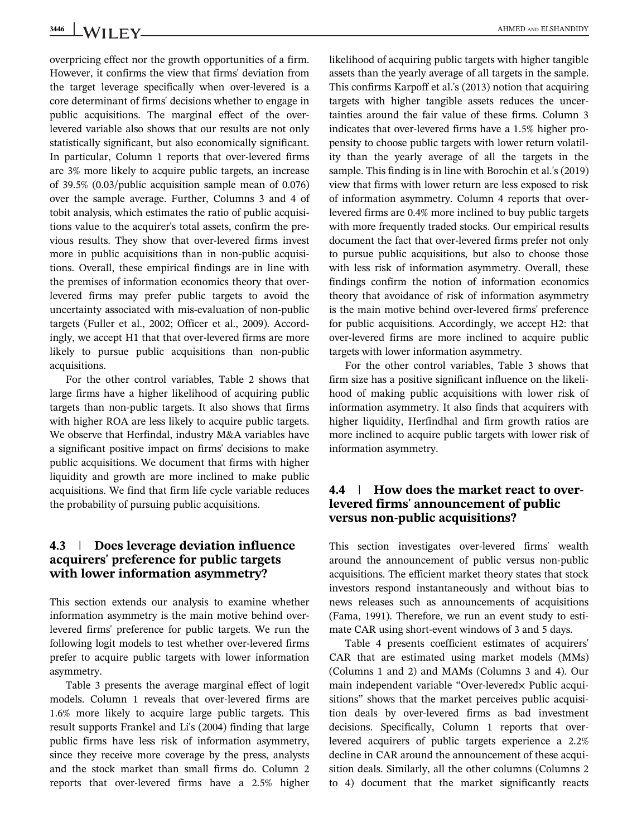overpricing effect nor the growth opportunities of a firm. However, it confirms the view that firms' deviation from the target leverage specifically when over-levered is a core determinant of firms' decisions whether to engage in public acquisitions. The marginal effect of the overlevered variable also shows that our results are not only statistically significant, but also economically significant. In particular, Column 1 reports that over-levered firms are 3% more likely to acquire public targets, an increase of 39.5% (0.03/public acquisition sample mean of 0.076) over the sample average. Further, Columns 3 and 4 of tobit analysis, which estimates the ratio of public acquisitions value to the acquirer's total assets, confirm the previous results. They show that over-levered firms invest more in public acquisitions than in non-public acquisitions. Overall, these empirical findings are in line with the premises of information economics theory that overlevered firms may prefer public targets to avoid the uncertainty associated with mis-evaluation of non-public targets (Fuller et al., 2002; Officer et al., 2009). Accordingly, we accept H1 that that over-levered firms are more likely to pursue public acquisitions than non-public acquisitions.

For the other control variables, Table 2 shows that large firms have a higher likelihood of acquiring public targets than non-public targets. It also shows that firms with higher ROA are less likely to acquire public targets. We observe that Herfindal, industry M&A variables have a significant positive impact on firms' decisions to make public acquisitions. We document that firms with higher liquidity and growth are more inclined to make public acquisitions. We find that firm life cycle variable reduces the probability of pursuing public acquisitions.

#### 4.3 | Does leverage deviation influence acquirers' preference for public targets with lower information asymmetry?

This section extends our analysis to examine whether information asymmetry is the main motive behind overlevered firms' preference for public targets. We run the following logit models to test whether over-levered firms prefer to acquire public targets with lower information asymmetry.

Table 3 presents the average marginal effect of logit models. Column 1 reveals that over-levered firms are 1.6% more likely to acquire large public targets. This result supports Frankel and Li's (2004) finding that large public firms have less risk of information asymmetry, since they receive more coverage by the press, analysts and the stock market than small firms do. Column 2 reports that over-levered firms have a 2.5% higher

likelihood of acquiring public targets with higher tangible assets than the yearly average of all targets in the sample. This confirms Karpoff et al.'s (2013) notion that acquiring targets with higher tangible assets reduces the uncertainties around the fair value of these firms. Column 3 indicates that over-levered firms have a 1.5% higher propensity to choose public targets with lower return volatility than the yearly average of all the targets in the sample. This finding is in line with Borochin et al.'s (2019) view that firms with lower return are less exposed to risk of information asymmetry. Column 4 reports that overlevered firms are 0.4% more inclined to buy public targets with more frequently traded stocks. Our empirical results document the fact that over-levered firms prefer not only to pursue public acquisitions, but also to choose those with less risk of information asymmetry. Overall, these findings confirm the notion of information economics theory that avoidance of risk of information asymmetry is the main motive behind over-levered firms' preference for public acquisitions. Accordingly, we accept H2: that over-levered firms are more inclined to acquire public targets with lower information asymmetry.

For the other control variables, Table 3 shows that firm size has a positive significant influence on the likelihood of making public acquisitions with lower risk of information asymmetry. It also finds that acquirers with higher liquidity, Herfindhal and firm growth ratios are more inclined to acquire public targets with lower risk of information asymmetry.

# 4.4 | How does the market react to overlevered firms' announcement of public versus non-public acquisitions?

This section investigates over-levered firms' wealth around the announcement of public versus non-public acquisitions. The efficient market theory states that stock investors respond instantaneously and without bias to news releases such as announcements of acquisitions (Fama, 1991). Therefore, we run an event study to estimate CAR using short-event windows of 3 and 5 days.

Table 4 presents coefficient estimates of acquirers' CAR that are estimated using market models (MMs) (Columns 1 and 2) and MAMs (Columns 3 and 4). Our main independent variable "Over-leveredx Public acquisitions" shows that the market perceives public acquisition deals by over-levered firms as bad investment decisions. Specifically, Column 1 reports that overlevered acquirers of public targets experience a 2.2% decline in CAR around the announcement of these acquisition deals. Similarly, all the other columns (Columns 2 to 4) document that the market significantly reacts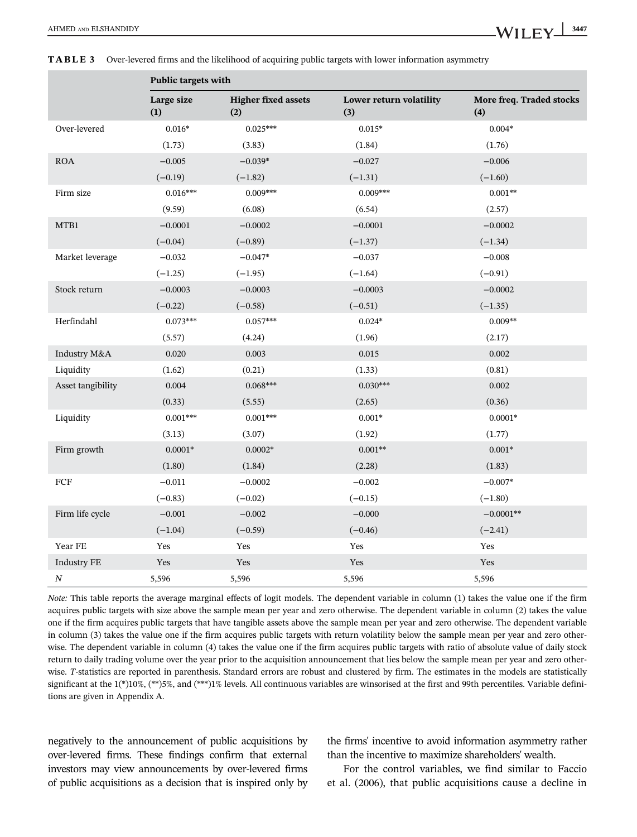|                    | Public targets with |                                   |                                |                                 |
|--------------------|---------------------|-----------------------------------|--------------------------------|---------------------------------|
|                    | Large size<br>(1)   | <b>Higher fixed assets</b><br>(2) | Lower return volatility<br>(3) | More freq. Traded stocks<br>(4) |
| Over-levered       | $0.016*$            | $0.025***$                        | $0.015*$                       | $0.004*$                        |
|                    | (1.73)              | (3.83)                            | (1.84)                         | (1.76)                          |
| <b>ROA</b>         | $-0.005$            | $-0.039*$                         | $-0.027$                       | $-0.006$                        |
|                    | $(-0.19)$           | $(-1.82)$                         | $(-1.31)$                      | $(-1.60)$                       |
| Firm size          | $0.016***$          | $0.009***$                        | $0.009***$                     | $0.001**$                       |
|                    | (9.59)              | (6.08)                            | (6.54)                         | (2.57)                          |
| MTB1               | $-0.0001$           | $-0.0002$                         | $-0.0001$                      | $-0.0002$                       |
|                    | $(-0.04)$           | $(-0.89)$                         | $(-1.37)$                      | $(-1.34)$                       |
| Market leverage    | $-0.032$            | $-0.047*$                         | $-0.037$                       | $-0.008$                        |
|                    | $(-1.25)$           | $(-1.95)$                         | $(-1.64)$                      | $(-0.91)$                       |
| Stock return       | $-0.0003$           | $-0.0003$                         | $-0.0003$                      | $-0.0002$                       |
|                    | $(-0.22)$           | $(-0.58)$                         | $(-0.51)$                      | $(-1.35)$                       |
| Herfindahl         | $0.073***$          | $0.057***$                        | $0.024*$                       | $0.009**$                       |
|                    | (5.57)              | (4.24)                            | (1.96)                         | (2.17)                          |
| Industry M&A       | 0.020               | 0.003                             | 0.015                          | 0.002                           |
| Liquidity          | (1.62)              | (0.21)                            | (1.33)                         | (0.81)                          |
| Asset tangibility  | 0.004               | $0.068***$                        | $0.030***$                     | 0.002                           |
|                    | (0.33)              | (5.55)                            | (2.65)                         | (0.36)                          |
| Liquidity          | $0.001***$          | $0.001***$                        | $0.001*$                       | $0.0001*$                       |
|                    | (3.13)              | (3.07)                            | (1.92)                         | (1.77)                          |
| Firm growth        | $0.0001*$           | $0.0002*$                         | $0.001**$                      | $0.001*$                        |
|                    | (1.80)              | (1.84)                            | (2.28)                         | (1.83)                          |
| ${\mbox{FCF}}$     | $-0.011$            | $-0.0002$                         | $-0.002$                       | $-0.007*$                       |
|                    | $(-0.83)$           | $(-0.02)$                         | $(-0.15)$                      | $(-1.80)$                       |
| Firm life cycle    | $-0.001$            | $-0.002$                          | $-0.000$                       | $-0.0001**$                     |
|                    | $(-1.04)$           | $(-0.59)$                         | $(-0.46)$                      | $(-2.41)$                       |
| Year FE            | Yes                 | Yes                               | Yes                            | Yes                             |
| <b>Industry FE</b> | Yes                 | Yes                               | Yes                            | Yes                             |
| N                  | 5,596               | 5,596                             | 5,596                          | 5,596                           |

TABLE 3 Over-levered firms and the likelihood of acquiring public targets with lower information asymmetry

*Note:* This table reports the average marginal effects of logit models. The dependent variable in column (1) takes the value one if the firm acquires public targets with size above the sample mean per year and zero otherwise. The dependent variable in column (2) takes the value one if the firm acquires public targets that have tangible assets above the sample mean per year and zero otherwise. The dependent variable in column (3) takes the value one if the firm acquires public targets with return volatility below the sample mean per year and zero otherwise. The dependent variable in column (4) takes the value one if the firm acquires public targets with ratio of absolute value of daily stock return to daily trading volume over the year prior to the acquisition announcement that lies below the sample mean per year and zero otherwise. *T*-statistics are reported in parenthesis. Standard errors are robust and clustered by firm. The estimates in the models are statistically significant at the  $1(*)10\%$ ,  $(**)5\%$ , and  $(***)1\%$  levels. All continuous variables are winsorised at the first and 99th percentiles. Variable definitions are given in Appendix A.

negatively to the announcement of public acquisitions by over-levered firms. These findings confirm that external investors may view announcements by over-levered firms of public acquisitions as a decision that is inspired only by the firms' incentive to avoid information asymmetry rather than the incentive to maximize shareholders' wealth.

For the control variables, we find similar to Faccio et al. (2006), that public acquisitions cause a decline in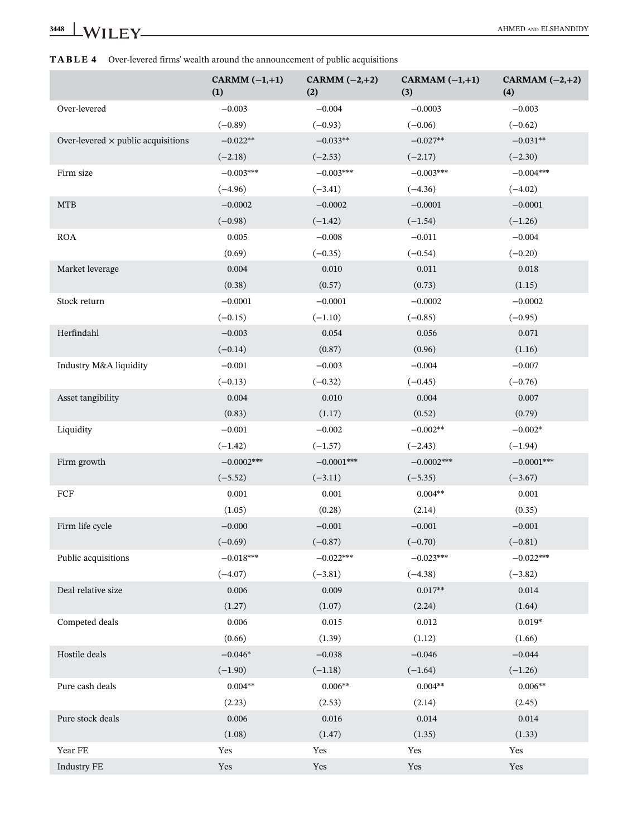|                                           | CARMM $(-1,+1)$<br>(1) | CARMM $(-2,+2)$<br>(2) | CARMAM $(-1,+1)$<br>(3) | CARMAM $(-2,+2)$<br>(4) |
|-------------------------------------------|------------------------|------------------------|-------------------------|-------------------------|
| Over-levered                              | $-0.003$               | $-0.004$               | $-0.0003$               | $-0.003$                |
|                                           | $(-0.89)$              | $(-0.93)$              | $(-0.06)$               | $(-0.62)$               |
| Over-levered $\times$ public acquisitions | $-0.022**$             | $-0.033**$             | $-0.027**$              | $-0.031**$              |
|                                           | $(-2.18)$              | $(-2.53)$              | $(-2.17)$               | $(-2.30)$               |
| Firm size                                 | $-0.003***$            | $-0.003***$            | $-0.003***$             | $-0.004***$             |
|                                           | $(-4.96)$              | $(-3.41)$              | $(-4.36)$               | $(-4.02)$               |
| <b>MTB</b>                                | $-0.0002$              | $-0.0002$              | $-0.0001$               | $-0.0001$               |
|                                           | $(-0.98)$              | $(-1.42)$              | $(-1.54)$               | $(-1.26)$               |
| <b>ROA</b>                                | 0.005                  | $-0.008$               | $-0.011$                | $-0.004$                |
|                                           | (0.69)                 | $(-0.35)$              | $(-0.54)$               | $(-0.20)$               |
| Market leverage                           | 0.004                  | 0.010                  | 0.011                   | 0.018                   |
|                                           | (0.38)                 | (0.57)                 | (0.73)                  | (1.15)                  |
| Stock return                              | $-0.0001$              | $-0.0001$              | $-0.0002$               | $-0.0002$               |
|                                           | $(-0.15)$              | $(-1.10)$              | $(-0.85)$               | $(-0.95)$               |
| Herfindahl                                | $-0.003$               | 0.054                  | 0.056                   | 0.071                   |
|                                           | $(-0.14)$              | (0.87)                 | (0.96)                  | (1.16)                  |
| Industry M&A liquidity                    | $-0.001$               | $-0.003$               | $-0.004$                | $-0.007$                |
|                                           | $(-0.13)$              | $(-0.32)$              | $(-0.45)$               | $(-0.76)$               |
| Asset tangibility                         | 0.004                  | 0.010                  | 0.004                   | 0.007                   |
|                                           | (0.83)                 | (1.17)                 | (0.52)                  | (0.79)                  |
| Liquidity                                 | $-0.001$               | $-0.002$               | $-0.002**$              | $-0.002*$               |
|                                           | $(-1.42)$              | $(-1.57)$              | $(-2.43)$               | $(-1.94)$               |
| Firm growth                               | $-0.0002***$           | $-0.0001***$           | $-0.0002***$            | $-0.0001***$            |
|                                           | $(-5.52)$              | $(-3.11)$              | $(-5.35)$               | $(-3.67)$               |
| FCF                                       | 0.001                  | 0.001                  | $0.004**$               | 0.001                   |
|                                           | (1.05)                 | (0.28)                 | (2.14)                  | (0.35)                  |
| Firm life cycle                           | $-0.000$               | $-0.001$               | $-0.001$                | $-0.001$                |
|                                           | $(-0.69)$              | $(-0.87)$              | $(-0.70)$               | $(-0.81)$               |
| Public acquisitions                       | $-0.018***$            | $-0.022***$            | $-0.023***$             | $-0.022***$             |
|                                           | $(-4.07)$              | $(-3.81)$              | $(-4.38)$               | $(-3.82)$               |
| Deal relative size                        | 0.006                  | 0.009                  | $0.017**$               | 0.014                   |
|                                           | (1.27)                 | (1.07)                 | (2.24)                  | (1.64)                  |
| Competed deals                            | 0.006                  | 0.015                  | 0.012                   | $0.019*$                |
|                                           | (0.66)                 | (1.39)                 | (1.12)                  | (1.66)                  |
| Hostile deals                             | $-0.046*$              | $-0.038$               | $-0.046$                | $-0.044$                |
|                                           | $(-1.90)$              | $(-1.18)$              | $(-1.64)$               | $(-1.26)$               |
| Pure cash deals                           | $0.004**$              | $0.006**$              | $0.004**$               | $0.006**$               |
|                                           | (2.23)                 | (2.53)                 | (2.14)                  | (2.45)                  |
| Pure stock deals                          | 0.006                  | 0.016                  | 0.014                   | 0.014                   |
|                                           | (1.08)                 | (1.47)                 | (1.35)                  | (1.33)                  |
| Year FE                                   | Yes                    | Yes                    | Yes                     | Yes                     |
| <b>Industry FE</b>                        | Yes                    | Yes                    | Yes                     | Yes                     |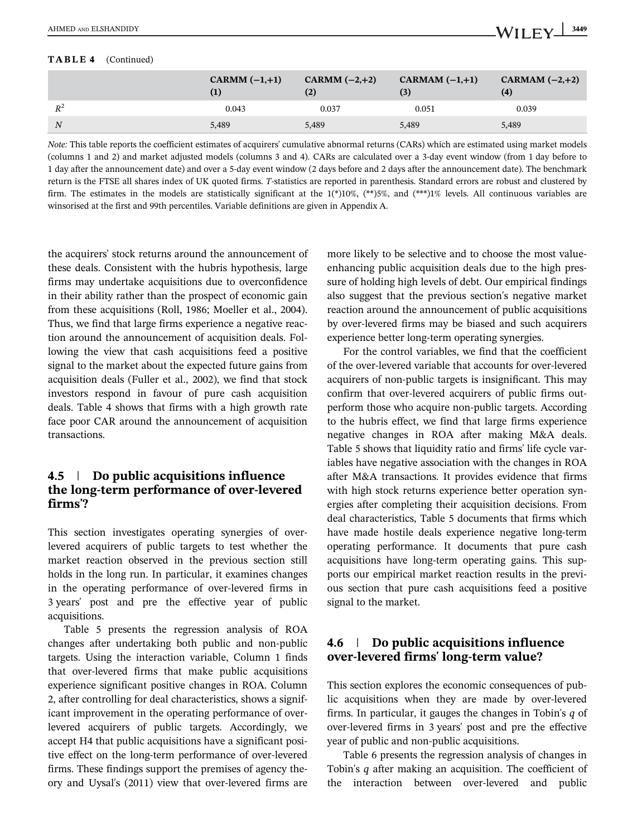#### TABLE 4 (Continued)

|                | CARMM $(-1,+1)$ | CARMM $(-2,+2)$<br>(2) | CARMAM $(-1,+1)$<br>(3) | CARMAM $(-2,+2)$<br>$\left( 4\right)$ |
|----------------|-----------------|------------------------|-------------------------|---------------------------------------|
| $R^2$          | 0.043           | 0.037                  | 0.051                   | 0.039                                 |
| $\overline{N}$ | 5.489           | 5,489                  | 5,489                   | 5,489                                 |

*Note:* This table reports the coefficient estimates of acquirers' cumulative abnormal returns (CARs) which are estimated using market models (columns 1 and 2) and market adjusted models (columns 3 and 4). CARs are calculated over a 3-day event window (from 1 day before to 1 day after the announcement date) and over a 5-day event window (2 days before and 2 days after the announcement date). The benchmark return is the FTSE all shares index of UK quoted firms. *T*-statistics are reported in parenthesis. Standard errors are robust and clustered by firm. The estimates in the models are statistically significant at the  $1(*)10\%$ ,  $(**)5\%$ , and  $(***)1\%$  levels. All continuous variables are winsorised at the first and 99th percentiles. Variable definitions are given in Appendix A.

the acquirers' stock returns around the announcement of these deals. Consistent with the hubris hypothesis, large firms may undertake acquisitions due to overconfidence in their ability rather than the prospect of economic gain from these acquisitions (Roll, 1986; Moeller et al., 2004). Thus, we find that large firms experience a negative reaction around the announcement of acquisition deals. Following the view that cash acquisitions feed a positive signal to the market about the expected future gains from acquisition deals (Fuller et al., 2002), we find that stock investors respond in favour of pure cash acquisition deals. Table 4 shows that firms with a high growth rate face poor CAR around the announcement of acquisition transactions.

## 4.5 | Do public acquisitions influence the long-term performance of over-levered firms'?

This section investigates operating synergies of overlevered acquirers of public targets to test whether the market reaction observed in the previous section still holds in the long run. In particular, it examines changes in the operating performance of over-levered firms in 3 years' post and pre the effective year of public acquisitions.

Table 5 presents the regression analysis of ROA changes after undertaking both public and non-public targets. Using the interaction variable, Column 1 finds that over-levered firms that make public acquisitions experience significant positive changes in ROA. Column 2, after controlling for deal characteristics, shows a significant improvement in the operating performance of overlevered acquirers of public targets. Accordingly, we accept H4 that public acquisitions have a significant positive effect on the long-term performance of over-levered firms. These findings support the premises of agency theory and Uysal's (2011) view that over-levered firms are more likely to be selective and to choose the most valueenhancing public acquisition deals due to the high pressure of holding high levels of debt. Our empirical findings also suggest that the previous section's negative market reaction around the announcement of public acquisitions by over-levered firms may be biased and such acquirers experience better long-term operating synergies.

For the control variables, we find that the coefficient of the over-levered variable that accounts for over-levered acquirers of non-public targets is insignificant. This may confirm that over-levered acquirers of public firms outperform those who acquire non-public targets. According to the hubris effect, we find that large firms experience negative changes in ROA after making M&A deals. Table 5 shows that liquidity ratio and firms' life cycle variables have negative association with the changes in ROA after M&A transactions. It provides evidence that firms with high stock returns experience better operation synergies after completing their acquisition decisions. From deal characteristics, Table 5 documents that firms which have made hostile deals experience negative long-term operating performance. It documents that pure cash acquisitions have long-term operating gains. This supports our empirical market reaction results in the previous section that pure cash acquisitions feed a positive signal to the market.

# 4.6 | Do public acquisitions influence over-levered firms' long-term value?

This section explores the economic consequences of public acquisitions when they are made by over-levered firms. In particular, it gauges the changes in Tobin's *q* of over-levered firms in 3 years' post and pre the effective year of public and non-public acquisitions.

Table 6 presents the regression analysis of changes in Tobin's *q* after making an acquisition. The coefficient of the interaction between over-levered and public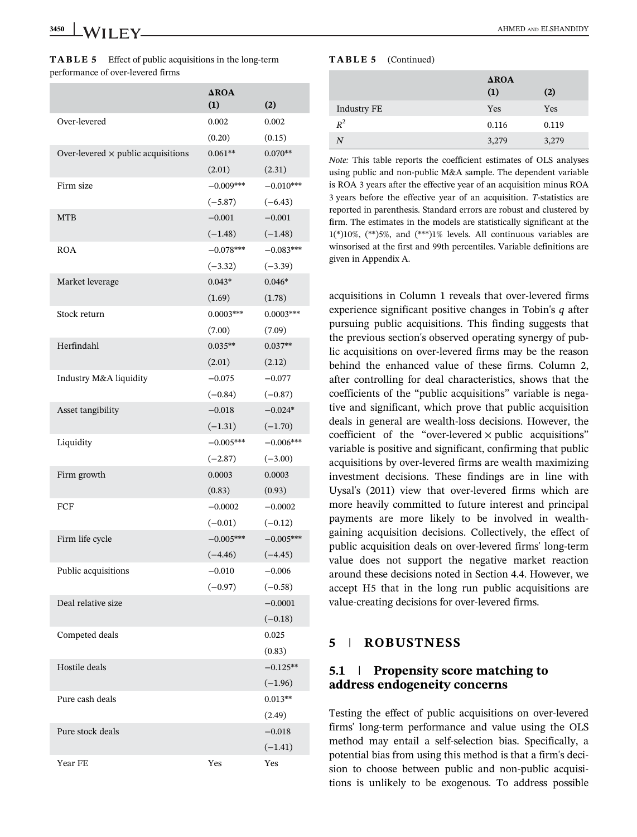| TABLE 5 | Effect of public acquisitions in the long-term |
|---------|------------------------------------------------|
|         | performance of over-levered firms              |

|                                           | $\triangle$ ROA<br>(1) | (2)         |
|-------------------------------------------|------------------------|-------------|
| Over-levered                              | 0.002                  | 0.002       |
|                                           | (0.20)                 | (0.15)      |
| Over-levered $\times$ public acquisitions | $0.061**$              | $0.070**$   |
|                                           | (2.01)                 | (2.31)      |
| Firm size                                 | $-0.009***$            | $-0.010***$ |
|                                           | $(-5.87)$              | $(-6.43)$   |
| <b>MTB</b>                                | $-0.001$               | $-0.001$    |
|                                           | $(-1.48)$              | $(-1.48)$   |
| <b>ROA</b>                                | $-0.078***$            | $-0.083***$ |
|                                           | $(-3.32)$              | $(-3.39)$   |
| Market leverage                           | $0.043*$               | $0.046*$    |
|                                           | (1.69)                 | (1.78)      |
| Stock return                              | $0.0003***$            | $0.0003***$ |
|                                           | (7.00)                 | (7.09)      |
| Herfindahl                                | $0.035**$              | $0.037**$   |
|                                           | (2.01)                 | (2.12)      |
| Industry M&A liquidity                    | $-0.075$               | $-0.077$    |
|                                           | $(-0.84)$              | $(-0.87)$   |
| Asset tangibility                         | $-0.018$               | $-0.024*$   |
|                                           | $(-1.31)$              | $(-1.70)$   |
| Liquidity                                 | $-0.005***$            | $-0.006***$ |
|                                           | $(-2.87)$              | $(-3.00)$   |
| Firm growth                               | 0.0003                 | 0.0003      |
|                                           | (0.83)                 | (0.93)      |
| FCF                                       | $-0.0002$              | $-0.0002$   |
|                                           | $(-0.01)$              | $(-0.12)$   |
| Firm life cycle                           | $-0.005***$            | $-0.005***$ |
|                                           | $(-4.46)$              | $(-4.45)$   |
| Public acquisitions                       | $-0.010$               | $-0.006$    |
|                                           | $(-0.97)$              | $(-0.58)$   |
| Deal relative size                        |                        | $-0.0001$   |
|                                           |                        | $(-0.18)$   |
| Competed deals                            |                        | 0.025       |
|                                           |                        | (0.83)      |
| Hostile deals                             |                        | $-0.125**$  |
|                                           |                        | $(-1.96)$   |
| Pure cash deals                           |                        | $0.013**$   |
|                                           |                        | (2.49)      |
| Pure stock deals                          |                        | $-0.018$    |
|                                           |                        | $(-1.41)$   |
| Year FE                                   | Yes                    | Yes         |

#### TABLE 5 (Continued)

|             | $\triangle$ ROA<br>(1) | (2)   |
|-------------|------------------------|-------|
| Industry FE | Yes                    | Yes   |
| $R^2$       | 0.116                  | 0.119 |
| N           | 3,279                  | 3,279 |
|             |                        |       |

*Note:* This table reports the coefficient estimates of OLS analyses using public and non-public M&A sample. The dependent variable is ROA 3 years after the effective year of an acquisition minus ROA 3 years before the effective year of an acquisition. *T*-statistics are reported in parenthesis. Standard errors are robust and clustered by firm. The estimates in the models are statistically significant at the 1(\*)10%, (\*\*)5%, and (\*\*\*)1% levels. All continuous variables are winsorised at the first and 99th percentiles. Variable definitions are given in Appendix A.

acquisitions in Column 1 reveals that over-levered firms experience significant positive changes in Tobin's *q* after pursuing public acquisitions. This finding suggests that the previous section's observed operating synergy of public acquisitions on over-levered firms may be the reason behind the enhanced value of these firms. Column 2, after controlling for deal characteristics, shows that the coefficients of the "public acquisitions" variable is negative and significant, which prove that public acquisition deals in general are wealth-loss decisions. However, the coefficient of the "over-levered  $\times$  public acquisitions" variable is positive and significant, confirming that public acquisitions by over-levered firms are wealth maximizing investment decisions. These findings are in line with Uysal's (2011) view that over-levered firms which are more heavily committed to future interest and principal payments are more likely to be involved in wealthgaining acquisition decisions. Collectively, the effect of public acquisition deals on over-levered firms' long-term value does not support the negative market reaction around these decisions noted in Section 4.4. However, we accept H5 that in the long run public acquisitions are value-creating decisions for over-levered firms.

#### 5 | ROBUSTNESS

#### 5.1 | Propensity score matching to address endogeneity concerns

Testing the effect of public acquisitions on over-levered firms' long-term performance and value using the OLS method may entail a self-selection bias. Specifically, a potential bias from using this method is that a firm's decision to choose between public and non-public acquisitions is unlikely to be exogenous. To address possible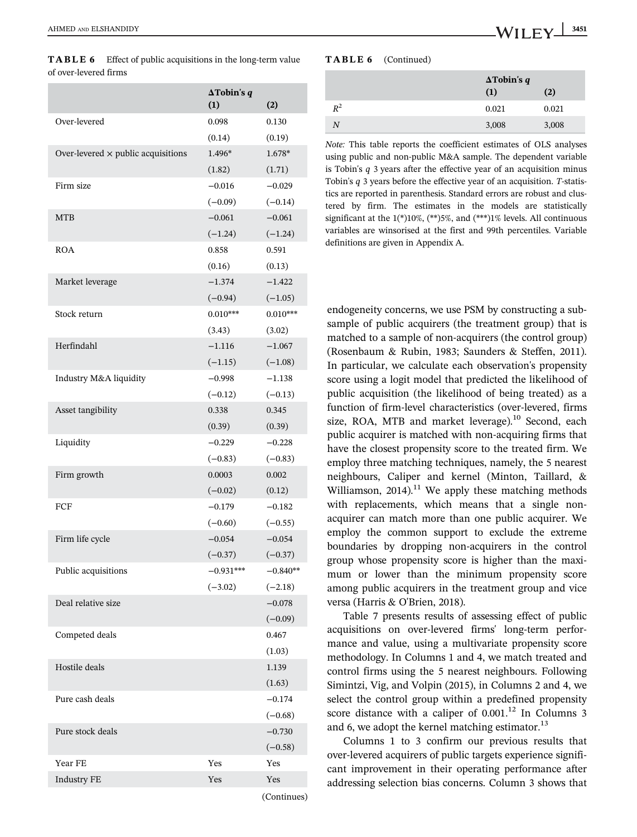| of over-levered firms                     |                    |            |
|-------------------------------------------|--------------------|------------|
|                                           | $\Delta$ Tobin's q |            |
|                                           | (1)                | (2)        |
| Over-levered                              | 0.098              | 0.130      |
|                                           | (0.14)             | (0.19)     |
| Over-levered $\times$ public acquisitions | 1.496*             | 1.678*     |
|                                           | (1.82)             | (1.71)     |
| Firm size                                 | $-0.016$           | $-0.029$   |
|                                           | $(-0.09)$          | $(-0.14)$  |
| <b>MTB</b>                                | $-0.061$           | $-0.061$   |
|                                           | $(-1.24)$          | $(-1.24)$  |
| ROA                                       | 0.858              | 0.591      |
|                                           | (0.16)             | (0.13)     |
| Market leverage                           | $-1.374$           | $-1.422$   |
|                                           | $(-0.94)$          | $(-1.05)$  |
| Stock return                              | $0.010***$         | $0.010***$ |
|                                           | (3.43)             | (3.02)     |
| Herfindahl                                | $-1.116$           | $-1.067$   |
|                                           | $(-1.15)$          | $(-1.08)$  |
| Industry M&A liquidity                    | $-0.998$           | $-1.138$   |
|                                           | $(-0.12)$          | $(-0.13)$  |
| Asset tangibility                         | 0.338              | 0.345      |
|                                           | (0.39)             | (0.39)     |
| Liquidity                                 | $-0.229$           | $-0.228$   |
|                                           | $(-0.83)$          | $(-0.83)$  |
| Firm growth                               | 0.0003             | 0.002      |
|                                           | $(-0.02)$          | (0.12)     |
| FCF                                       | $-0.179$           | $-0.182$   |
|                                           | $(-0.60)$          | $(-0.55)$  |
| Firm life cycle                           | $-0.054$           | $-0.054$   |
|                                           | $(-0.37)$          | $(-0.37)$  |
| Public acquisitions                       | $-0.931***$        | $-0.840**$ |
|                                           | $(-3.02)$          | $(-2.18)$  |
| Deal relative size                        |                    | $-0.078$   |
|                                           |                    | $(-0.09)$  |
| Competed deals                            |                    | 0.467      |
|                                           |                    | (1.03)     |
| Hostile deals                             |                    | 1.139      |
|                                           |                    | (1.63)     |
| Pure cash deals                           |                    | $-0.174$   |
|                                           |                    | $(-0.68)$  |
| Pure stock deals                          |                    | $-0.730$   |
|                                           |                    | $(-0.58)$  |
| Year FE                                   | Yes                | Yes        |
| <b>Industry FE</b>                        | Yes                | Yes        |

TABLE 6 Effect of public acquisitions in the long-term value

TABLE 6 (Continued)

|       | $\Delta$ Tobin's q |       |
|-------|--------------------|-------|
|       | (1)                | (2)   |
| $R^2$ | 0.021              | 0.021 |
| N     | 3,008              | 3,008 |

*Note:* This table reports the coefficient estimates of OLS analyses using public and non-public M&A sample. The dependent variable is Tobin's *q* 3 years after the effective year of an acquisition minus Tobin's *q* 3 years before the effective year of an acquisition. *T*-statistics are reported in parenthesis. Standard errors are robust and clustered by firm. The estimates in the models are statistically significant at the 1(\*)10%, (\*\*)5%, and (\*\*\*)1% levels. All continuous variables are winsorised at the first and 99th percentiles. Variable definitions are given in Appendix A.

endogeneity concerns, we use PSM by constructing a subsample of public acquirers (the treatment group) that is matched to a sample of non-acquirers (the control group) (Rosenbaum & Rubin, 1983; Saunders & Steffen, 2011). In particular, we calculate each observation's propensity score using a logit model that predicted the likelihood of public acquisition (the likelihood of being treated) as a function of firm-level characteristics (over-levered, firms size, ROA, MTB and market leverage).<sup>10</sup> Second, each public acquirer is matched with non-acquiring firms that have the closest propensity score to the treated firm. We employ three matching techniques, namely, the 5 nearest neighbours, Caliper and kernel (Minton, Taillard, & Williamson, 2014).<sup>11</sup> We apply these matching methods with replacements, which means that a single nonacquirer can match more than one public acquirer. We employ the common support to exclude the extreme boundaries by dropping non-acquirers in the control group whose propensity score is higher than the maximum or lower than the minimum propensity score among public acquirers in the treatment group and vice versa (Harris & O'Brien, 2018).

Table 7 presents results of assessing effect of public acquisitions on over-levered firms' long-term performance and value, using a multivariate propensity score methodology. In Columns 1 and 4, we match treated and control firms using the 5 nearest neighbours. Following Simintzi, Vig, and Volpin (2015), in Columns 2 and 4, we select the control group within a predefined propensity score distance with a caliper of  $0.001$ .<sup>12</sup> In Columns 3 and 6, we adopt the kernel matching estimator. $^{13}$ 

Columns 1 to 3 confirm our previous results that over-levered acquirers of public targets experience significant improvement in their operating performance after addressing selection bias concerns. Column 3 shows that

(Continues)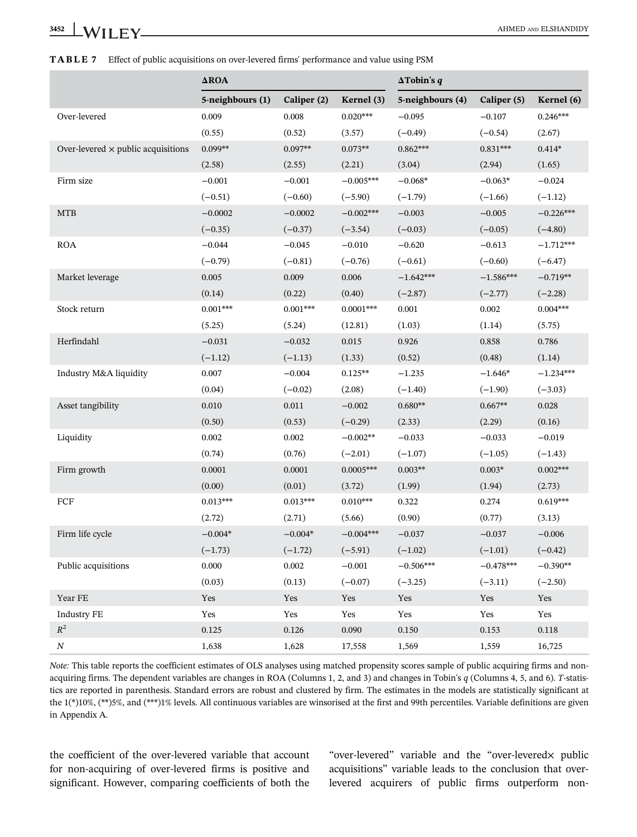|  |  | <b>TABLE 7</b> Effect of public acquisitions on over-levered firms' performance and value using PSM |  |
|--|--|-----------------------------------------------------------------------------------------------------|--|
|--|--|-----------------------------------------------------------------------------------------------------|--|

|                                           | $\Delta \text{ROA}$ |             | $\Delta$ Tobin's q |                  |             |             |
|-------------------------------------------|---------------------|-------------|--------------------|------------------|-------------|-------------|
|                                           | 5-neighbours (1)    | Caliper (2) | Kernel (3)         | 5-neighbours (4) | Caliper (5) | Kernel (6)  |
| Over-levered                              | 0.009               | 0.008       | $0.020***$         | $-0.095$         | $-0.107$    | $0.246***$  |
|                                           | (0.55)              | (0.52)      | (3.57)             | $(-0.49)$        | $(-0.54)$   | (2.67)      |
| Over-levered $\times$ public acquisitions | $0.099**$           | $0.097**$   | $0.073**$          | $0.862***$       | $0.831***$  | $0.414*$    |
|                                           | (2.58)              | (2.55)      | (2.21)             | (3.04)           | (2.94)      | (1.65)      |
| Firm size                                 | $-0.001$            | $-0.001$    | $-0.005***$        | $-0.068*$        | $-0.063*$   | $-0.024$    |
|                                           | $(-0.51)$           | $(-0.60)$   | $(-5.90)$          | $(-1.79)$        | $(-1.66)$   | $(-1.12)$   |
| <b>MTB</b>                                | $-0.0002$           | $-0.0002$   | $-0.002***$        | $-0.003$         | $-0.005$    | $-0.226***$ |
|                                           | $(-0.35)$           | $(-0.37)$   | $(-3.54)$          | $(-0.03)$        | $(-0.05)$   | $(-4.80)$   |
| <b>ROA</b>                                | $-0.044$            | $-0.045$    | $-0.010$           | $-0.620$         | $-0.613$    | $-1.712***$ |
|                                           | $(-0.79)$           | $(-0.81)$   | $(-0.76)$          | $(-0.61)$        | $(-0.60)$   | $(-6.47)$   |
| Market leverage                           | 0.005               | 0.009       | 0.006              | $-1.642***$      | $-1.586***$ | $-0.719**$  |
|                                           | (0.14)              | (0.22)      | (0.40)             | $(-2.87)$        | $(-2.77)$   | $(-2.28)$   |
| Stock return                              | $0.001***$          | $0.001***$  | $0.0001***$        | 0.001            | 0.002       | $0.004***$  |
|                                           | (5.25)              | (5.24)      | (12.81)            | (1.03)           | (1.14)      | (5.75)      |
| Herfindahl                                | $-0.031$            | $-0.032$    | 0.015              | 0.926            | 0.858       | 0.786       |
|                                           | $(-1.12)$           | $(-1.13)$   | (1.33)             | (0.52)           | (0.48)      | (1.14)      |
| Industry M&A liquidity                    | 0.007               | $-0.004$    | $0.125**$          | $-1.235$         | $-1.646*$   | $-1.234***$ |
|                                           | (0.04)              | $(-0.02)$   | (2.08)             | $(-1.40)$        | $(-1.90)$   | $(-3.03)$   |
| Asset tangibility                         | $0.010\,$           | $0.011\,$   | $-0.002$           | $0.680**$        | $0.667**$   | 0.028       |
|                                           | (0.50)              | (0.53)      | $(-0.29)$          | (2.33)           | (2.29)      | (0.16)      |
| Liquidity                                 | 0.002               | 0.002       | $-0.002**$         | $-0.033$         | $-0.033$    | $-0.019$    |
|                                           | (0.74)              | (0.76)      | $(-2.01)$          | $(-1.07)$        | $(-1.05)$   | $(-1.43)$   |
| Firm growth                               | 0.0001              | 0.0001      | $0.0005***$        | $0.003**$        | $0.003*$    | $0.002***$  |
|                                           | (0.00)              | (0.01)      | (3.72)             | (1.99)           | (1.94)      | (2.73)      |
| FCF                                       | $0.013***$          | $0.013***$  | $0.010***$         | 0.322            | 0.274       | $0.619***$  |
|                                           | (2.72)              | (2.71)      | (5.66)             | (0.90)           | (0.77)      | (3.13)      |
| Firm life cycle                           | $-0.004*$           | $-0.004*$   | $-0.004***$        | $-0.037$         | $-0.037$    | $-0.006$    |
|                                           | $(-1.73)$           | $(-1.72)$   | $(-5.91)$          | $(-1.02)$        | $(-1.01)$   | $(-0.42)$   |
| Public acquisitions                       | 0.000               | 0.002       | $-0.001$           | $-0.506***$      | $-0.478***$ | $-0.390**$  |
|                                           | (0.03)              | (0.13)      | $(-0.07)$          | $(-3.25)$        | $(-3.11)$   | $(-2.50)$   |
| Year FE                                   | Yes                 | Yes         | Yes                | Yes              | Yes         | Yes         |
| <b>Industry FE</b>                        | Yes                 | Yes         | Yes                | Yes              | Yes         | Yes         |
| $\mathbb{R}^2$                            | 0.125               | 0.126       | 0.090              | $0.150\,$        | 0.153       | $0.118\,$   |
| $\cal N$                                  | 1,638               | 1,628       | 17,558             | 1,569            | 1,559       | 16,725      |

*Note:* This table reports the coefficient estimates of OLS analyses using matched propensity scores sample of public acquiring firms and nonacquiring firms. The dependent variables are changes in ROA (Columns 1, 2, and 3) and changes in Tobin's *q* (Columns 4, 5, and 6). *T*-statistics are reported in parenthesis. Standard errors are robust and clustered by firm. The estimates in the models are statistically significant at the 1(\*)10%, (\*\*)5%, and (\*\*\*)1% levels. All continuous variables are winsorised at the first and 99th percentiles. Variable definitions are given in Appendix A.

the coefficient of the over-levered variable that account for non-acquiring of over-levered firms is positive and significant. However, comparing coefficients of both the

"over-levered" variable and the "over-leveredx public acquisitions" variable leads to the conclusion that overlevered acquirers of public firms outperform non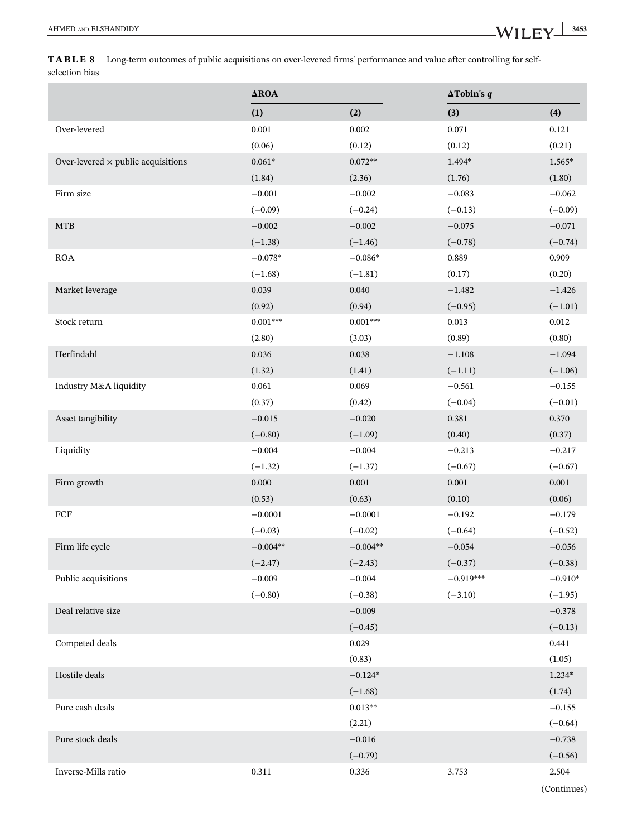TABLE 8 Long-term outcomes of public acquisitions on over-levered firms' performance and value after controlling for selfselection bias

|                                           | $\Delta \text{ROA}$ |            | $\Delta$ Tobin's q |           |  |
|-------------------------------------------|---------------------|------------|--------------------|-----------|--|
|                                           | (1)                 | (2)        | (3)                | (4)       |  |
| Over-levered                              | 0.001               | 0.002      | 0.071              | 0.121     |  |
|                                           | (0.06)              | (0.12)     | (0.12)             | (0.21)    |  |
| Over-levered $\times$ public acquisitions | $0.061*$            | $0.072**$  | 1.494*             | $1.565*$  |  |
|                                           | (1.84)              | (2.36)     | (1.76)             | (1.80)    |  |
| Firm size                                 | $-0.001$            | $-0.002$   | $-0.083$           | $-0.062$  |  |
|                                           | $(-0.09)$           | $(-0.24)$  | $(-0.13)$          | $(-0.09)$ |  |
| <b>MTB</b>                                | $-0.002$            | $-0.002$   | $-0.075$           | $-0.071$  |  |
|                                           | $(-1.38)$           | $(-1.46)$  | $(-0.78)$          | $(-0.74)$ |  |
| <b>ROA</b>                                | $-0.078*$           | $-0.086*$  | 0.889              | 0.909     |  |
|                                           | $(-1.68)$           | $(-1.81)$  | (0.17)             | (0.20)    |  |
| Market leverage                           | 0.039               | 0.040      | $-1.482$           | $-1.426$  |  |
|                                           | (0.92)              | (0.94)     | $(-0.95)$          | $(-1.01)$ |  |
| Stock return                              | $0.001***$          | $0.001***$ | 0.013              | $0.012\,$ |  |
|                                           | (2.80)              | (3.03)     | (0.89)             | (0.80)    |  |
| Herfindahl                                | 0.036               | 0.038      | $-1.108$           | $-1.094$  |  |
|                                           | (1.32)              | (1.41)     | $(-1.11)$          | $(-1.06)$ |  |
| Industry M&A liquidity                    | 0.061               | 0.069      | $-0.561$           | $-0.155$  |  |
|                                           | (0.37)              | (0.42)     | $(-0.04)$          | $(-0.01)$ |  |
| Asset tangibility                         | $-0.015$            | $-0.020$   | 0.381              | 0.370     |  |
|                                           | $(-0.80)$           | $(-1.09)$  | (0.40)             | (0.37)    |  |
| Liquidity                                 | $-0.004$            | $-0.004$   | $-0.213$           | $-0.217$  |  |
|                                           | $(-1.32)$           | $(-1.37)$  | $(-0.67)$          | $(-0.67)$ |  |
| Firm growth                               | 0.000               | $0.001\,$  | $0.001\,$          | $0.001\,$ |  |
|                                           | (0.53)              | (0.63)     | (0.10)             | (0.06)    |  |
| ${\mbox{FCF}}$                            | $-0.0001$           | $-0.0001$  | $-0.192$           | $-0.179$  |  |
|                                           | $(-0.03)$           | $(-0.02)$  | $(-0.64)$          | $(-0.52)$ |  |
| Firm life cycle                           | $-0.004**$          | $-0.004**$ | $-0.054$           | $-0.056$  |  |
|                                           | $(-2.47)$           | $(-2.43)$  | $(-0.37)$          | $(-0.38)$ |  |
| Public acquisitions                       | $-0.009$            | $-0.004$   | $-0.919***$        | $-0.910*$ |  |
|                                           | $(-0.80)$           | $(-0.38)$  | $(-3.10)$          | $(-1.95)$ |  |
| Deal relative size                        |                     | $-0.009$   |                    | $-0.378$  |  |
|                                           |                     | $(-0.45)$  |                    | $(-0.13)$ |  |
| Competed deals                            |                     | 0.029      |                    | 0.441     |  |
|                                           |                     | (0.83)     |                    | (1.05)    |  |
| Hostile deals                             |                     | $-0.124*$  |                    | $1.234*$  |  |
|                                           |                     | $(-1.68)$  |                    | (1.74)    |  |
| Pure cash deals                           |                     | $0.013**$  |                    | $-0.155$  |  |
|                                           |                     | (2.21)     |                    | $(-0.64)$ |  |
| Pure stock deals                          |                     | $-0.016$   |                    | $-0.738$  |  |
|                                           |                     | $(-0.79)$  |                    | $(-0.56)$ |  |
| Inverse-Mills ratio                       | 0.311               | 0.336      | 3.753              | 2.504     |  |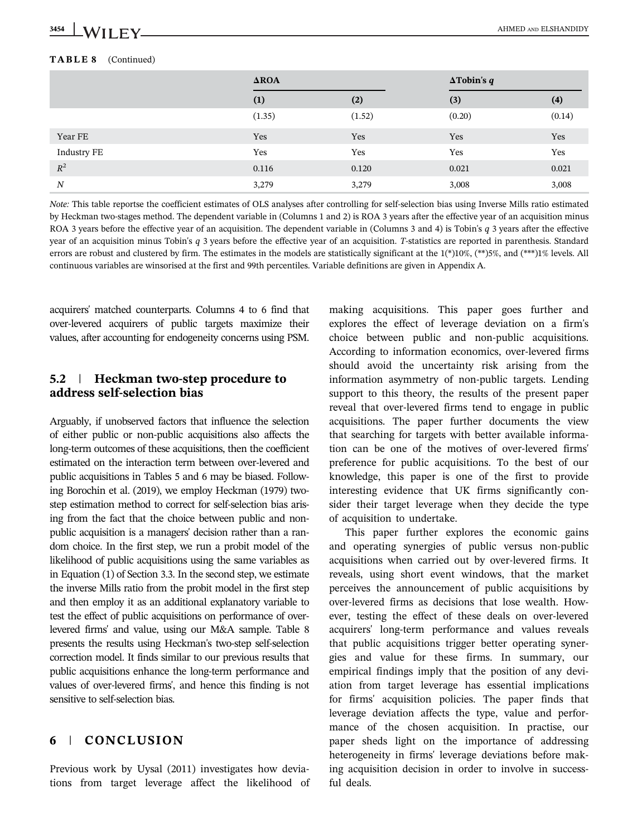#### TABLE 8 (Continued)

|                    | $\triangle$ ROA |        | $\Delta$ Tobin's q |        |
|--------------------|-----------------|--------|--------------------|--------|
|                    | (1)             | (2)    | (3)                | (4)    |
|                    | (1.35)          | (1.52) | (0.20)             | (0.14) |
| Year FE            | Yes             | Yes    | Yes                | Yes    |
| <b>Industry FE</b> | Yes             | Yes    | Yes                | Yes    |
| $R^2$              | 0.116           | 0.120  | 0.021              | 0.021  |
| $\boldsymbol{N}$   | 3,279           | 3,279  | 3,008              | 3,008  |

*Note:* This table reportse the coefficient estimates of OLS analyses after controlling for self-selection bias using Inverse Mills ratio estimated by Heckman two-stages method. The dependent variable in (Columns 1 and 2) is ROA 3 years after the effective year of an acquisition minus ROA 3 years before the effective year of an acquisition. The dependent variable in (Columns 3 and 4) is Tobin's *q* 3 years after the effective year of an acquisition minus Tobin's *q* 3 years before the effective year of an acquisition. *T*-statistics are reported in parenthesis. Standard errors are robust and clustered by firm. The estimates in the models are statistically significant at the  $1(*)10\%$ ,  $(**)5\%$ , and  $(***)1\%$  levels. All continuous variables are winsorised at the first and 99th percentiles. Variable definitions are given in Appendix A.

acquirers' matched counterparts. Columns 4 to 6 find that over-levered acquirers of public targets maximize their values, after accounting for endogeneity concerns using PSM.

#### 5.2 | Heckman two-step procedure to address self-selection bias

Arguably, if unobserved factors that influence the selection of either public or non-public acquisitions also affects the long-term outcomes of these acquisitions, then the coefficient estimated on the interaction term between over-levered and public acquisitions in Tables 5 and 6 may be biased. Following Borochin et al. (2019), we employ Heckman (1979) twostep estimation method to correct for self-selection bias arising from the fact that the choice between public and nonpublic acquisition is a managers' decision rather than a random choice. In the first step, we run a probit model of the likelihood of public acquisitions using the same variables as in Equation (1) of Section 3.3. In the second step, we estimate the inverse Mills ratio from the probit model in the first step and then employ it as an additional explanatory variable to test the effect of public acquisitions on performance of overlevered firms' and value, using our M&A sample. Table 8 presents the results using Heckman's two-step self-selection correction model. It finds similar to our previous results that public acquisitions enhance the long-term performance and values of over-levered firms', and hence this finding is not sensitive to self-selection bias.

# 6 | CONCLUSION

Previous work by Uysal (2011) investigates how deviations from target leverage affect the likelihood of making acquisitions. This paper goes further and explores the effect of leverage deviation on a firm's choice between public and non-public acquisitions. According to information economics, over-levered firms should avoid the uncertainty risk arising from the information asymmetry of non-public targets. Lending support to this theory, the results of the present paper reveal that over-levered firms tend to engage in public acquisitions. The paper further documents the view that searching for targets with better available information can be one of the motives of over-levered firms' preference for public acquisitions. To the best of our knowledge, this paper is one of the first to provide interesting evidence that UK firms significantly consider their target leverage when they decide the type of acquisition to undertake.

This paper further explores the economic gains and operating synergies of public versus non-public acquisitions when carried out by over-levered firms. It reveals, using short event windows, that the market perceives the announcement of public acquisitions by over-levered firms as decisions that lose wealth. However, testing the effect of these deals on over-levered acquirers' long-term performance and values reveals that public acquisitions trigger better operating synergies and value for these firms. In summary, our empirical findings imply that the position of any deviation from target leverage has essential implications for firms' acquisition policies. The paper finds that leverage deviation affects the type, value and performance of the chosen acquisition. In practise, our paper sheds light on the importance of addressing heterogeneity in firms' leverage deviations before making acquisition decision in order to involve in successful deals.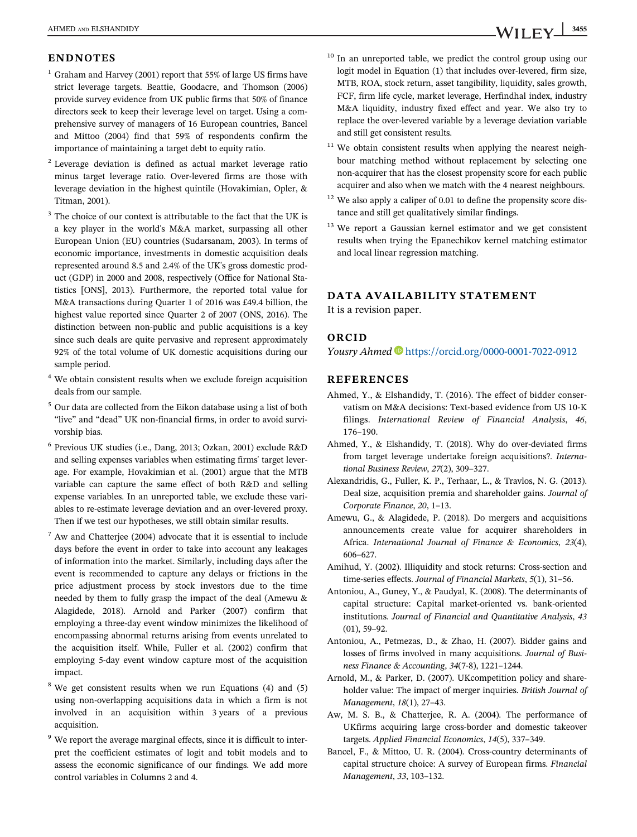#### ENDNOTES

- $1$  Graham and Harvey (2001) report that 55% of large US firms have strict leverage targets. Beattie, Goodacre, and Thomson (2006) provide survey evidence from UK public firms that 50% of finance directors seek to keep their leverage level on target. Using a comprehensive survey of managers of 16 European countries, Bancel and Mittoo (2004) find that 59% of respondents confirm the importance of maintaining a target debt to equity ratio.
- <sup>2</sup> Leverage deviation is defined as actual market leverage ratio minus target leverage ratio. Over-levered firms are those with leverage deviation in the highest quintile (Hovakimian, Opler, & Titman, 2001).
- $3$  The choice of our context is attributable to the fact that the UK is a key player in the world's M&A market, surpassing all other European Union (EU) countries (Sudarsanam, 2003). In terms of economic importance, investments in domestic acquisition deals represented around 8.5 and 2.4% of the UK's gross domestic product (GDP) in 2000 and 2008, respectively (Office for National Statistics [ONS], 2013). Furthermore, the reported total value for M&A transactions during Quarter 1 of 2016 was £49.4 billion, the highest value reported since Quarter 2 of 2007 (ONS, 2016). The distinction between non-public and public acquisitions is a key since such deals are quite pervasive and represent approximately 92% of the total volume of UK domestic acquisitions during our sample period.
- <sup>4</sup> We obtain consistent results when we exclude foreign acquisition deals from our sample.
- $5$  Our data are collected from the Eikon database using a list of both "live" and "dead" UK non-financial firms, in order to avoid survivorship bias.
- 6 Previous UK studies (i.e., Dang, 2013; Ozkan, 2001) exclude R&D and selling expenses variables when estimating firms' target leverage. For example, Hovakimian et al. (2001) argue that the MTB variable can capture the same effect of both R&D and selling expense variables. In an unreported table, we exclude these variables to re-estimate leverage deviation and an over-levered proxy. Then if we test our hypotheses, we still obtain similar results.
- $7$  Aw and Chatterjee (2004) advocate that it is essential to include days before the event in order to take into account any leakages of information into the market. Similarly, including days after the event is recommended to capture any delays or frictions in the price adjustment process by stock investors due to the time needed by them to fully grasp the impact of the deal (Amewu & Alagidede, 2018). Arnold and Parker (2007) confirm that employing a three-day event window minimizes the likelihood of encompassing abnormal returns arising from events unrelated to the acquisition itself. While, Fuller et al. (2002) confirm that employing 5-day event window capture most of the acquisition impact.
- $8$  We get consistent results when we run Equations (4) and (5) using non-overlapping acquisitions data in which a firm is not involved in an acquisition within 3 years of a previous acquisition.
- <sup>9</sup> We report the average marginal effects, since it is difficult to interpret the coefficient estimates of logit and tobit models and to assess the economic significance of our findings. We add more control variables in Columns 2 and 4.
- <sup>10</sup> In an unreported table, we predict the control group using our logit model in Equation (1) that includes over-levered, firm size, MTB, ROA, stock return, asset tangibility, liquidity, sales growth, FCF, firm life cycle, market leverage, Herfindhal index, industry M&A liquidity, industry fixed effect and year. We also try to replace the over-levered variable by a leverage deviation variable and still get consistent results.
- $11$  We obtain consistent results when applying the nearest neighbour matching method without replacement by selecting one non-acquirer that has the closest propensity score for each public acquirer and also when we match with the 4 nearest neighbours.
- <sup>12</sup> We also apply a caliper of 0.01 to define the propensity score distance and still get qualitatively similar findings.
- <sup>13</sup> We report a Gaussian kernel estimator and we get consistent results when trying the Epanechikov kernel matching estimator and local linear regression matching.

#### DATA AVAILABILITY STATEMENT

It is a revision paper.

#### ORCID

*Yousry Ahmed* https://orcid.org/0000-0001-7022-0912

#### REFERENCES

- Ahmed, Y., & Elshandidy, T. (2016). The effect of bidder conservatism on M&A decisions: Text-based evidence from US 10-K filings. *International Review of Financial Analysis*, *46*, 176–190.
- Ahmed, Y., & Elshandidy, T. (2018). Why do over-deviated firms from target leverage undertake foreign acquisitions?. *International Business Review*, *27*(2), 309–327.
- Alexandridis, G., Fuller, K. P., Terhaar, L., & Travlos, N. G. (2013). Deal size, acquisition premia and shareholder gains. *Journal of Corporate Finance*, *20*, 1–13.
- Amewu, G., & Alagidede, P. (2018). Do mergers and acquisitions announcements create value for acquirer shareholders in Africa. *International Journal of Finance & Economics*, *23*(4), 606–627.
- Amihud, Y. (2002). Illiquidity and stock returns: Cross-section and time-series effects. *Journal of Financial Markets*, *5*(1), 31–56.
- Antoniou, A., Guney, Y., & Paudyal, K. (2008). The determinants of capital structure: Capital market-oriented vs. bank-oriented institutions. *Journal of Financial and Quantitative Analysis*, *43* (01), 59–92.
- Antoniou, A., Petmezas, D., & Zhao, H. (2007). Bidder gains and losses of firms involved in many acquisitions. *Journal of Business Finance & Accounting*, *34*(7-8), 1221–1244.
- Arnold, M., & Parker, D. (2007). UKcompetition policy and shareholder value: The impact of merger inquiries. *British Journal of Management*, *18*(1), 27–43.
- Aw, M. S. B., & Chatterjee, R. A. (2004). The performance of UKfirms acquiring large cross-border and domestic takeover targets. *Applied Financial Economics*, *14*(5), 337–349.
- Bancel, F., & Mittoo, U. R. (2004). Cross-country determinants of capital structure choice: A survey of European firms. *Financial Management*, *33*, 103–132.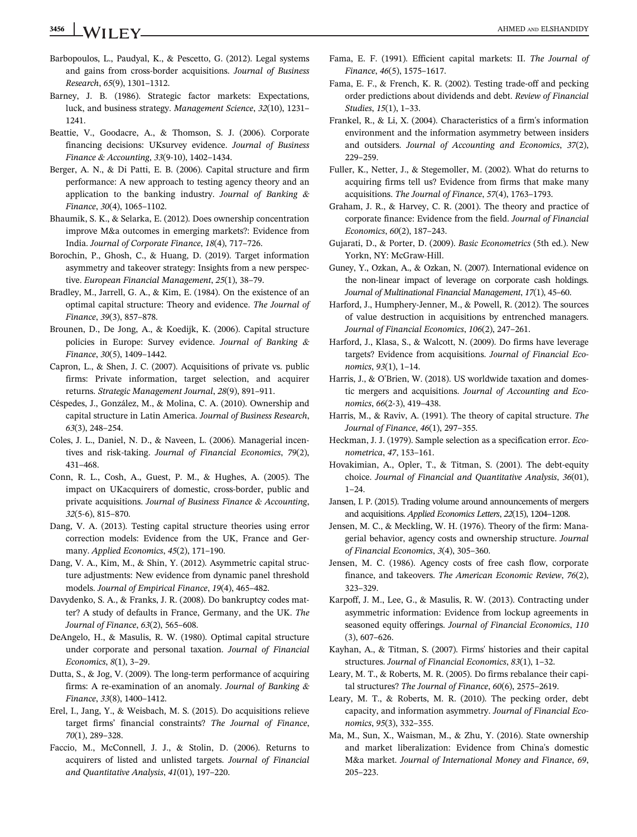# 3456 WII FY AHMED AND ELSHANDIDY

- Barbopoulos, L., Paudyal, K., & Pescetto, G. (2012). Legal systems and gains from cross-border acquisitions. *Journal of Business Research*, *65*(9), 1301–1312.
- Barney, J. B. (1986). Strategic factor markets: Expectations, luck, and business strategy. *Management Science*, *32*(10), 1231– 1241.
- Beattie, V., Goodacre, A., & Thomson, S. J. (2006). Corporate financing decisions: UKsurvey evidence. *Journal of Business Finance & Accounting*, *33*(9-10), 1402–1434.
- Berger, A. N., & Di Patti, E. B. (2006). Capital structure and firm performance: A new approach to testing agency theory and an application to the banking industry. *Journal of Banking & Finance*, *30*(4), 1065–1102.
- Bhaumik, S. K., & Selarka, E. (2012). Does ownership concentration improve M&a outcomes in emerging markets?: Evidence from India. *Journal of Corporate Finance*, *18*(4), 717–726.
- Borochin, P., Ghosh, C., & Huang, D. (2019). Target information asymmetry and takeover strategy: Insights from a new perspective. *European Financial Management*, *25*(1), 38–79.
- Bradley, M., Jarrell, G. A., & Kim, E. (1984). On the existence of an optimal capital structure: Theory and evidence. *The Journal of Finance*, *39*(3), 857–878.
- Brounen, D., De Jong, A., & Koedijk, K. (2006). Capital structure policies in Europe: Survey evidence. *Journal of Banking & Finance*, *30*(5), 1409–1442.
- Capron, L., & Shen, J. C. (2007). Acquisitions of private vs. public firms: Private information, target selection, and acquirer returns. *Strategic Management Journal*, *28*(9), 891–911.
- Céspedes, J., González, M., & Molina, C. A. (2010). Ownership and capital structure in Latin America. *Journal of Business Research*, *63*(3), 248–254.
- Coles, J. L., Daniel, N. D., & Naveen, L. (2006). Managerial incentives and risk-taking. *Journal of Financial Economics*, *79*(2), 431–468.
- Conn, R. L., Cosh, A., Guest, P. M., & Hughes, A. (2005). The impact on UKacquirers of domestic, cross-border, public and private acquisitions. *Journal of Business Finance & Accounting*, *32*(5-6), 815–870.
- Dang, V. A. (2013). Testing capital structure theories using error correction models: Evidence from the UK, France and Germany. *Applied Economics*, *45*(2), 171–190.
- Dang, V. A., Kim, M., & Shin, Y. (2012). Asymmetric capital structure adjustments: New evidence from dynamic panel threshold models. *Journal of Empirical Finance*, *19*(4), 465–482.
- Davydenko, S. A., & Franks, J. R. (2008). Do bankruptcy codes matter? A study of defaults in France, Germany, and the UK. *The Journal of Finance*, *63*(2), 565–608.
- DeAngelo, H., & Masulis, R. W. (1980). Optimal capital structure under corporate and personal taxation. *Journal of Financial Economics*, *8*(1), 3–29.
- Dutta, S., & Jog, V. (2009). The long-term performance of acquiring firms: A re-examination of an anomaly. *Journal of Banking & Finance*, *33*(8), 1400–1412.
- Erel, I., Jang, Y., & Weisbach, M. S. (2015). Do acquisitions relieve target firms' financial constraints? *The Journal of Finance*, *70*(1), 289–328.
- Faccio, M., McConnell, J. J., & Stolin, D. (2006). Returns to acquirers of listed and unlisted targets. *Journal of Financial and Quantitative Analysis*, *41*(01), 197–220.
- Fama, E. F. (1991). Efficient capital markets: II. *The Journal of Finance*, *46*(5), 1575–1617.
- Fama, E. F., & French, K. R. (2002). Testing trade-off and pecking order predictions about dividends and debt. *Review of Financial Studies*, *15*(1), 1–33.
- Frankel, R., & Li, X. (2004). Characteristics of a firm's information environment and the information asymmetry between insiders and outsiders. *Journal of Accounting and Economics*, *37*(2), 229–259.
- Fuller, K., Netter, J., & Stegemoller, M. (2002). What do returns to acquiring firms tell us? Evidence from firms that make many acquisitions. *The Journal of Finance*, *57*(4), 1763–1793.
- Graham, J. R., & Harvey, C. R. (2001). The theory and practice of corporate finance: Evidence from the field. *Journal of Financial Economics*, *60*(2), 187–243.
- Gujarati, D., & Porter, D. (2009). *Basic Econometrics* (5th ed.). New Yorkn, NY: McGraw-Hill.
- Guney, Y., Ozkan, A., & Ozkan, N. (2007). International evidence on the non-linear impact of leverage on corporate cash holdings. *Journal of Multinational Financial Management*, *17*(1), 45–60.
- Harford, J., Humphery-Jenner, M., & Powell, R. (2012). The sources of value destruction in acquisitions by entrenched managers. *Journal of Financial Economics*, *106*(2), 247–261.
- Harford, J., Klasa, S., & Walcott, N. (2009). Do firms have leverage targets? Evidence from acquisitions. *Journal of Financial Economics*, *93*(1), 1–14.
- Harris, J., & O'Brien, W. (2018). US worldwide taxation and domestic mergers and acquisitions. *Journal of Accounting and Economics*, *66*(2-3), 419–438.
- Harris, M., & Raviv, A. (1991). The theory of capital structure. *The Journal of Finance*, *46*(1), 297–355.
- Heckman, J. J. (1979). Sample selection as a specification error. *Econometrica*, *47*, 153–161.
- Hovakimian, A., Opler, T., & Titman, S. (2001). The debt-equity choice. *Journal of Financial and Quantitative Analysis*, *36*(01),  $1 - 24$ .
- Jansen, I. P. (2015). Trading volume around announcements of mergers and acquisitions. *Applied Economics Letters*, *22*(15), 1204–1208.
- Jensen, M. C., & Meckling, W. H. (1976). Theory of the firm: Managerial behavior, agency costs and ownership structure. *Journal of Financial Economics*, *3*(4), 305–360.
- Jensen, M. C. (1986). Agency costs of free cash flow, corporate finance, and takeovers. *The American Economic Review*, *76*(2), 323–329.
- Karpoff, J. M., Lee, G., & Masulis, R. W. (2013). Contracting under asymmetric information: Evidence from lockup agreements in seasoned equity offerings. *Journal of Financial Economics*, *110* (3), 607–626.
- Kayhan, A., & Titman, S. (2007). Firms' histories and their capital structures. *Journal of Financial Economics*, *83*(1), 1–32.
- Leary, M. T., & Roberts, M. R. (2005). Do firms rebalance their capital structures? *The Journal of Finance*, *60*(6), 2575–2619.
- Leary, M. T., & Roberts, M. R. (2010). The pecking order, debt capacity, and information asymmetry. *Journal of Financial Economics*, *95*(3), 332–355.
- Ma, M., Sun, X., Waisman, M., & Zhu, Y. (2016). State ownership and market liberalization: Evidence from China's domestic M&a market. *Journal of International Money and Finance*, *69*, 205–223.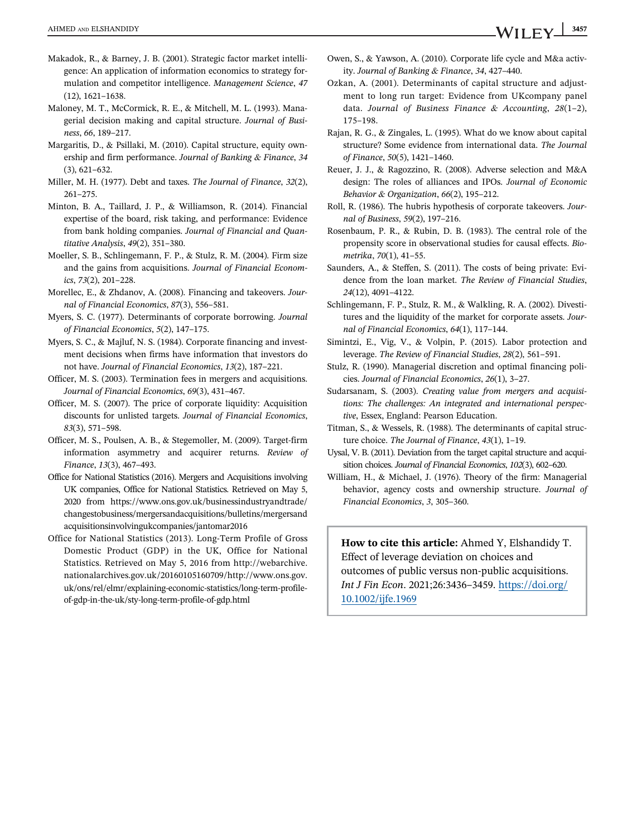- Makadok, R., & Barney, J. B. (2001). Strategic factor market intelligence: An application of information economics to strategy formulation and competitor intelligence. *Management Science*, *47* (12), 1621–1638.
- Maloney, M. T., McCormick, R. E., & Mitchell, M. L. (1993). Managerial decision making and capital structure. *Journal of Business*, *66*, 189–217.
- Margaritis, D., & Psillaki, M. (2010). Capital structure, equity ownership and firm performance. *Journal of Banking & Finance*, *34* (3), 621–632.
- Miller, M. H. (1977). Debt and taxes. *The Journal of Finance*, *32*(2), 261–275.
- Minton, B. A., Taillard, J. P., & Williamson, R. (2014). Financial expertise of the board, risk taking, and performance: Evidence from bank holding companies. *Journal of Financial and Quantitative Analysis*, *49*(2), 351–380.
- Moeller, S. B., Schlingemann, F. P., & Stulz, R. M. (2004). Firm size and the gains from acquisitions. *Journal of Financial Economics*, *73*(2), 201–228.
- Morellec, E., & Zhdanov, A. (2008). Financing and takeovers. *Journal of Financial Economics*, *87*(3), 556–581.
- Myers, S. C. (1977). Determinants of corporate borrowing. *Journal of Financial Economics*, *5*(2), 147–175.
- Myers, S. C., & Majluf, N. S. (1984). Corporate financing and investment decisions when firms have information that investors do not have. *Journal of Financial Economics*, *13*(2), 187–221.
- Officer, M. S. (2003). Termination fees in mergers and acquisitions. *Journal of Financial Economics*, *69*(3), 431–467.
- Officer, M. S. (2007). The price of corporate liquidity: Acquisition discounts for unlisted targets. *Journal of Financial Economics*, *83*(3), 571–598.
- Officer, M. S., Poulsen, A. B., & Stegemoller, M. (2009). Target-firm information asymmetry and acquirer returns. *Review of Finance*, *13*(3), 467–493.
- Office for National Statistics (2016). Mergers and Acquisitions involving UK companies, Office for National Statistics. Retrieved on May 5, 2020 from https://www.ons.gov.uk/businessindustryandtrade/ changestobusiness/mergersandacquisitions/bulletins/mergersand acquisitionsinvolvingukcompanies/jantomar2016
- Office for National Statistics (2013). Long-Term Profile of Gross Domestic Product (GDP) in the UK, Office for National Statistics. Retrieved on May 5, 2016 from http://webarchive. nationalarchives.gov.uk/20160105160709/http://www.ons.gov. uk/ons/rel/elmr/explaining-economic-statistics/long-term-profileof-gdp-in-the-uk/sty-long-term-profile-of-gdp.html
- Owen, S., & Yawson, A. (2010). Corporate life cycle and M&a activity. *Journal of Banking & Finance*, *34*, 427–440.
- Ozkan, A. (2001). Determinants of capital structure and adjustment to long run target: Evidence from UKcompany panel data. *Journal of Business Finance & Accounting*, *28*(1–2), 175–198.
- Rajan, R. G., & Zingales, L. (1995). What do we know about capital structure? Some evidence from international data. *The Journal of Finance*, *50*(5), 1421–1460.
- Reuer, J. J., & Ragozzino, R. (2008). Adverse selection and M&A design: The roles of alliances and IPOs. *Journal of Economic Behavior & Organization*, *66*(2), 195–212.
- Roll, R. (1986). The hubris hypothesis of corporate takeovers. *Journal of Business*, *59*(2), 197–216.
- Rosenbaum, P. R., & Rubin, D. B. (1983). The central role of the propensity score in observational studies for causal effects. *Biometrika*, *70*(1), 41–55.
- Saunders, A., & Steffen, S. (2011). The costs of being private: Evidence from the loan market. *The Review of Financial Studies*, *24*(12), 4091–4122.
- Schlingemann, F. P., Stulz, R. M., & Walkling, R. A. (2002). Divestitures and the liquidity of the market for corporate assets. *Journal of Financial Economics*, *64*(1), 117–144.
- Simintzi, E., Vig, V., & Volpin, P. (2015). Labor protection and leverage. *The Review of Financial Studies*, *28*(2), 561–591.
- Stulz, R. (1990). Managerial discretion and optimal financing policies. *Journal of Financial Economics*, *26*(1), 3–27.
- Sudarsanam, S. (2003). *Creating value from mergers and acquisitions: The challenges: An integrated and international perspective*, Essex, England: Pearson Education.
- Titman, S., & Wessels, R. (1988). The determinants of capital structure choice. *The Journal of Finance*, *43*(1), 1–19.
- Uysal, V. B. (2011). Deviation from the target capital structure and acquisition choices. *Journal of Financial Economics*, *102*(3), 602–620.
- William, H., & Michael, J. (1976). Theory of the firm: Managerial behavior, agency costs and ownership structure. *Journal of Financial Economics*, *3*, 305–360.

How to cite this article: Ahmed Y, Elshandidy T. Effect of leverage deviation on choices and outcomes of public versus non-public acquisitions. *Int J Fin Econ*. 2021;26:3436–3459. https://doi.org/ 10.1002/ijfe.1969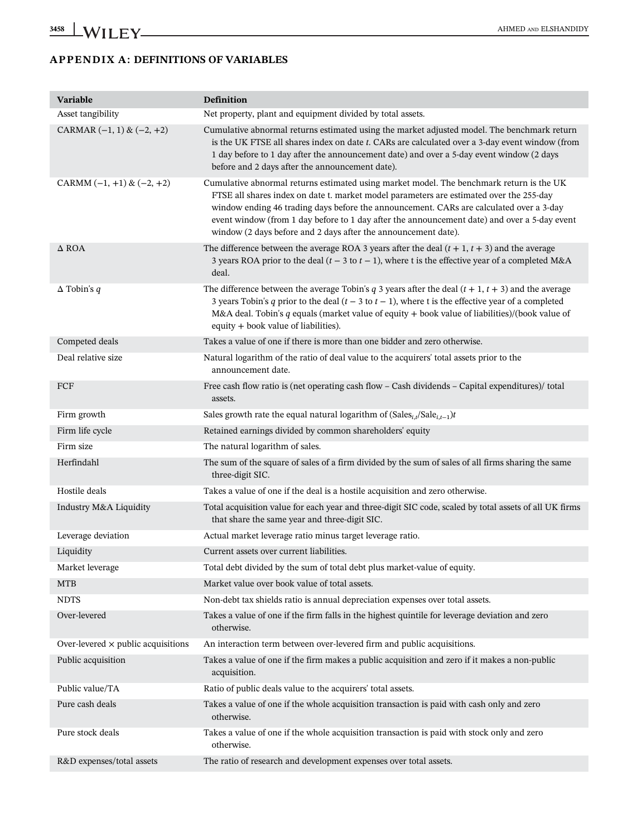# APPENDIX A: DEFINITIONS OF VARIABLES

| Variable                                  | Definition                                                                                                                                                                                                                                                                                                                                                                                                                                       |
|-------------------------------------------|--------------------------------------------------------------------------------------------------------------------------------------------------------------------------------------------------------------------------------------------------------------------------------------------------------------------------------------------------------------------------------------------------------------------------------------------------|
| Asset tangibility                         | Net property, plant and equipment divided by total assets.                                                                                                                                                                                                                                                                                                                                                                                       |
| CARMAR $(-1, 1)$ & $(-2, +2)$             | Cumulative abnormal returns estimated using the market adjusted model. The benchmark return<br>is the UK FTSE all shares index on date t. CARs are calculated over a 3-day event window (from<br>1 day before to 1 day after the announcement date) and over a 5-day event window (2 days<br>before and 2 days after the announcement date).                                                                                                     |
| CARMM $(-1, +1)$ & $(-2, +2)$             | Cumulative abnormal returns estimated using market model. The benchmark return is the UK<br>FTSE all shares index on date t. market model parameters are estimated over the 255-day<br>window ending 46 trading days before the announcement. CARs are calculated over a 3-day<br>event window (from 1 day before to 1 day after the announcement date) and over a 5-day event<br>window (2 days before and 2 days after the announcement date). |
| $\Delta$ ROA                              | The difference between the average ROA 3 years after the deal $(t + 1, t + 3)$ and the average<br>3 years ROA prior to the deal ( $t - 3$ to $t - 1$ ), where t is the effective year of a completed M&A<br>deal.                                                                                                                                                                                                                                |
| $\Delta$ Tobin's q                        | The difference between the average Tobin's $q$ 3 years after the deal $(t + 1, t + 3)$ and the average<br>3 years Tobin's q prior to the deal $(t - 3$ to $t - 1)$ , where t is the effective year of a completed<br>M&A deal. Tobin's $q$ equals (market value of equity + book value of liabilities)/(book value of<br>equity + book value of liabilities).                                                                                    |
| Competed deals                            | Takes a value of one if there is more than one bidder and zero otherwise.                                                                                                                                                                                                                                                                                                                                                                        |
| Deal relative size                        | Natural logarithm of the ratio of deal value to the acquirers' total assets prior to the<br>announcement date.                                                                                                                                                                                                                                                                                                                                   |
| FCF                                       | Free cash flow ratio is (net operating cash flow – Cash dividends – Capital expenditures)/ total<br>assets.                                                                                                                                                                                                                                                                                                                                      |
| Firm growth                               | Sales growth rate the equal natural logarithm of $(Sales_{i,t}/Sale_{i,t-1})t$                                                                                                                                                                                                                                                                                                                                                                   |
| Firm life cycle                           | Retained earnings divided by common shareholders' equity                                                                                                                                                                                                                                                                                                                                                                                         |
| Firm size                                 | The natural logarithm of sales.                                                                                                                                                                                                                                                                                                                                                                                                                  |
| Herfindahl                                | The sum of the square of sales of a firm divided by the sum of sales of all firms sharing the same<br>three-digit SIC.                                                                                                                                                                                                                                                                                                                           |
| Hostile deals                             | Takes a value of one if the deal is a hostile acquisition and zero otherwise.                                                                                                                                                                                                                                                                                                                                                                    |
| Industry M&A Liquidity                    | Total acquisition value for each year and three-digit SIC code, scaled by total assets of all UK firms<br>that share the same year and three-digit SIC.                                                                                                                                                                                                                                                                                          |
| Leverage deviation                        | Actual market leverage ratio minus target leverage ratio.                                                                                                                                                                                                                                                                                                                                                                                        |
| Liquidity                                 | Current assets over current liabilities.                                                                                                                                                                                                                                                                                                                                                                                                         |
| Market leverage                           | Total debt divided by the sum of total debt plus market-value of equity.                                                                                                                                                                                                                                                                                                                                                                         |
| <b>MTB</b>                                | Market value over book value of total assets.                                                                                                                                                                                                                                                                                                                                                                                                    |
| <b>NDTS</b>                               | Non-debt tax shields ratio is annual depreciation expenses over total assets.                                                                                                                                                                                                                                                                                                                                                                    |
| Over-levered                              | Takes a value of one if the firm falls in the highest quintile for leverage deviation and zero<br>otherwise.                                                                                                                                                                                                                                                                                                                                     |
| Over-levered $\times$ public acquisitions | An interaction term between over-levered firm and public acquisitions.                                                                                                                                                                                                                                                                                                                                                                           |
| Public acquisition                        | Takes a value of one if the firm makes a public acquisition and zero if it makes a non-public<br>acquisition.                                                                                                                                                                                                                                                                                                                                    |
| Public value/TA                           | Ratio of public deals value to the acquirers' total assets.                                                                                                                                                                                                                                                                                                                                                                                      |
| Pure cash deals                           | Takes a value of one if the whole acquisition transaction is paid with cash only and zero<br>otherwise.                                                                                                                                                                                                                                                                                                                                          |
| Pure stock deals                          | Takes a value of one if the whole acquisition transaction is paid with stock only and zero<br>otherwise.                                                                                                                                                                                                                                                                                                                                         |
| R&D expenses/total assets                 | The ratio of research and development expenses over total assets.                                                                                                                                                                                                                                                                                                                                                                                |